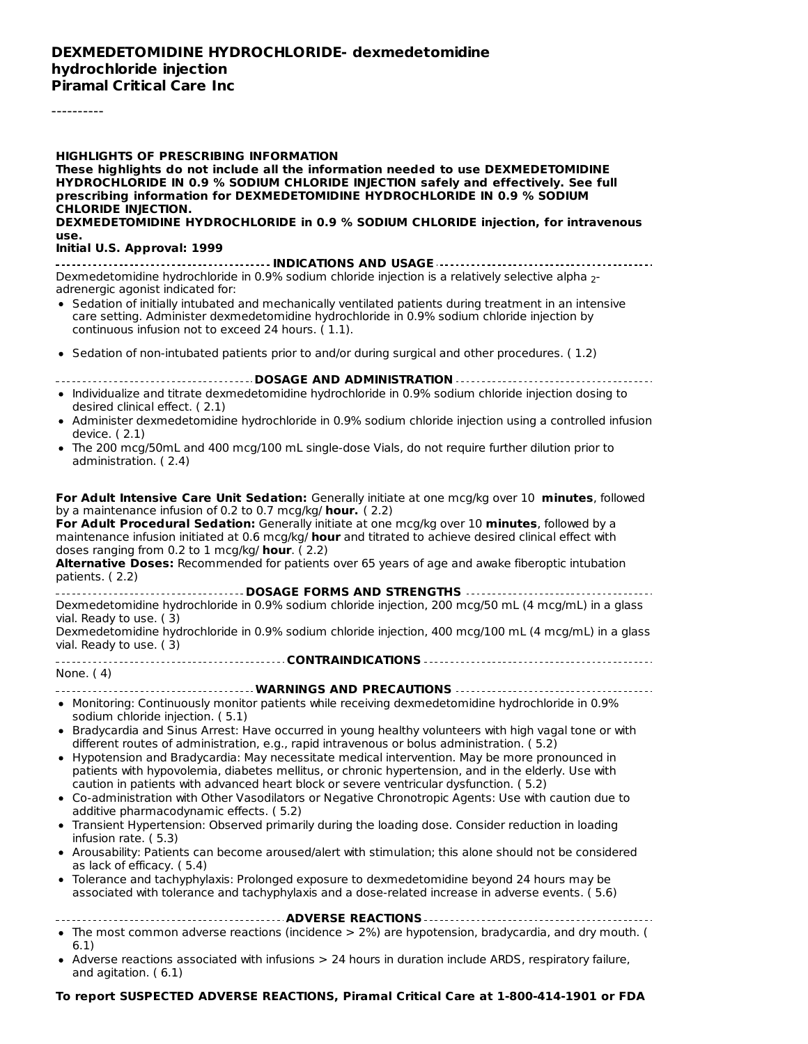#### **DEXMEDETOMIDINE HYDROCHLORIDE- dexmedetomidine hydrochloride injection Piramal Critical Care Inc**

----------

| <b>HIGHLIGHTS OF PRESCRIBING INFORMATION</b><br>These highlights do not include all the information needed to use DEXMEDETOMIDINE<br>HYDROCHLORIDE IN 0.9 % SODIUM CHLORIDE INJECTION safely and effectively. See full<br>prescribing information for DEXMEDETOMIDINE HYDROCHLORIDE IN 0.9 % SODIUM<br><b>CHLORIDE INJECTION.</b>                                                                                                                                                                                                                                                                                                                                                                                                                                                                                                                                                                                                                                                                                                                                                                                                     |
|---------------------------------------------------------------------------------------------------------------------------------------------------------------------------------------------------------------------------------------------------------------------------------------------------------------------------------------------------------------------------------------------------------------------------------------------------------------------------------------------------------------------------------------------------------------------------------------------------------------------------------------------------------------------------------------------------------------------------------------------------------------------------------------------------------------------------------------------------------------------------------------------------------------------------------------------------------------------------------------------------------------------------------------------------------------------------------------------------------------------------------------|
| DEXMEDETOMIDINE HYDROCHLORIDE in 0.9 % SODIUM CHLORIDE injection, for intravenous<br>use.                                                                                                                                                                                                                                                                                                                                                                                                                                                                                                                                                                                                                                                                                                                                                                                                                                                                                                                                                                                                                                             |
| Initial U.S. Approval: 1999                                                                                                                                                                                                                                                                                                                                                                                                                                                                                                                                                                                                                                                                                                                                                                                                                                                                                                                                                                                                                                                                                                           |
| Dexmedetomidine hydrochloride in 0.9% sodium chloride injection is a relatively selective alpha 2-<br>adrenergic agonist indicated for:<br>• Sedation of initially intubated and mechanically ventilated patients during treatment in an intensive<br>care setting. Administer dexmedetomidine hydrochloride in 0.9% sodium chloride injection by<br>continuous infusion not to exceed 24 hours. (1.1).                                                                                                                                                                                                                                                                                                                                                                                                                                                                                                                                                                                                                                                                                                                               |
| • Sedation of non-intubated patients prior to and/or during surgical and other procedures. (1.2)                                                                                                                                                                                                                                                                                                                                                                                                                                                                                                                                                                                                                                                                                                                                                                                                                                                                                                                                                                                                                                      |
| ----------------------------------- DOSAGE AND ADMINISTRATION ------------------                                                                                                                                                                                                                                                                                                                                                                                                                                                                                                                                                                                                                                                                                                                                                                                                                                                                                                                                                                                                                                                      |
| • Individualize and titrate dexmedetomidine hydrochloride in 0.9% sodium chloride injection dosing to<br>desired clinical effect. (2.1)                                                                                                                                                                                                                                                                                                                                                                                                                                                                                                                                                                                                                                                                                                                                                                                                                                                                                                                                                                                               |
| • Administer dexmedetomidine hydrochloride in 0.9% sodium chloride injection using a controlled infusion<br>device. (2.1)                                                                                                                                                                                                                                                                                                                                                                                                                                                                                                                                                                                                                                                                                                                                                                                                                                                                                                                                                                                                             |
| • The 200 mcg/50mL and 400 mcg/100 mL single-dose Vials, do not require further dilution prior to<br>administration. (2.4)                                                                                                                                                                                                                                                                                                                                                                                                                                                                                                                                                                                                                                                                                                                                                                                                                                                                                                                                                                                                            |
| For Adult Intensive Care Unit Sedation: Generally initiate at one mcg/kg over 10 minutes, followed<br>by a maintenance infusion of 0.2 to 0.7 mcg/kg/ hour. $(2.2)$<br>For Adult Procedural Sedation: Generally initiate at one mcg/kg over 10 minutes, followed by a<br>maintenance infusion initiated at 0.6 mcg/kg/ hour and titrated to achieve desired clinical effect with<br>doses ranging from 0.2 to 1 mcg/kg/ hour. (2.2)<br>Alternative Doses: Recommended for patients over 65 years of age and awake fiberoptic intubation<br>patients. (2.2)<br>------------------------------------ DOSAGE FORMS AND STRENGTHS ----------------------------------                                                                                                                                                                                                                                                                                                                                                                                                                                                                      |
| Dexmedetomidine hydrochloride in 0.9% sodium chloride injection, 200 mcg/50 mL (4 mcg/mL) in a glass<br>vial. Ready to use. (3)<br>Dexmedetomidine hydrochloride in 0.9% sodium chloride injection, 400 mcg/100 mL (4 mcg/mL) in a glass<br>vial. Ready to use. (3)                                                                                                                                                                                                                                                                                                                                                                                                                                                                                                                                                                                                                                                                                                                                                                                                                                                                   |
| None. (4)                                                                                                                                                                                                                                                                                                                                                                                                                                                                                                                                                                                                                                                                                                                                                                                                                                                                                                                                                                                                                                                                                                                             |
|                                                                                                                                                                                                                                                                                                                                                                                                                                                                                                                                                                                                                                                                                                                                                                                                                                                                                                                                                                                                                                                                                                                                       |
| • Monitoring: Continuously monitor patients while receiving dexmedetomidine hydrochloride in 0.9%<br>sodium chloride injection. (5.1)                                                                                                                                                                                                                                                                                                                                                                                                                                                                                                                                                                                                                                                                                                                                                                                                                                                                                                                                                                                                 |
| • Bradycardia and Sinus Arrest: Have occurred in young healthy volunteers with high vagal tone or with<br>different routes of administration, e.g., rapid intravenous or bolus administration. (5.2)<br>• Hypotension and Bradycardia: May necessitate medical intervention. May be more pronounced in<br>patients with hypovolemia, diabetes mellitus, or chronic hypertension, and in the elderly. Use with<br>caution in patients with advanced heart block or severe ventricular dysfunction. (5.2)<br>• Co-administration with Other Vasodilators or Negative Chronotropic Agents: Use with caution due to<br>additive pharmacodynamic effects. (5.2)<br>• Transient Hypertension: Observed primarily during the loading dose. Consider reduction in loading<br>infusion rate. (5.3)<br>• Arousability: Patients can become aroused/alert with stimulation; this alone should not be considered<br>as lack of efficacy. (5.4)<br>• Tolerance and tachyphylaxis: Prolonged exposure to dexmedetomidine beyond 24 hours may be<br>associated with tolerance and tachyphylaxis and a dose-related increase in adverse events. (5.6) |
| . The most common adverse reactions (incidence > 2%) are hypotension, bradycardia, and dry mouth. (                                                                                                                                                                                                                                                                                                                                                                                                                                                                                                                                                                                                                                                                                                                                                                                                                                                                                                                                                                                                                                   |
| 6.1)<br>• Adverse reactions associated with infusions > 24 hours in duration include ARDS, respiratory failure,<br>and agitation. $(6.1)$                                                                                                                                                                                                                                                                                                                                                                                                                                                                                                                                                                                                                                                                                                                                                                                                                                                                                                                                                                                             |

#### **To report SUSPECTED ADVERSE REACTIONS, Piramal Critical Care at 1-800-414-1901 or FDA**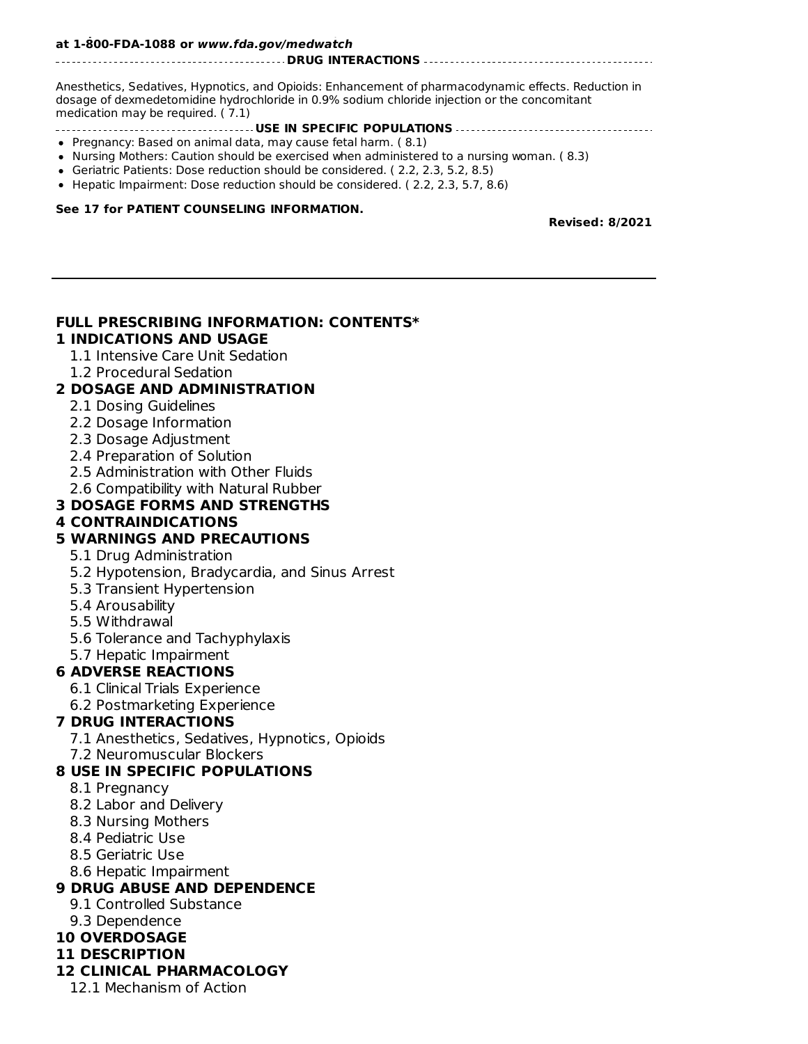#### **To report SUSPECTED ADVERSE REACTIONS, Piramal Critical Care at 1-800-414-1901 or FDA at 1-800-FDA-1088 or www.fda.gov/medwatch**

#### **DRUG INTERACTIONS**

Anesthetics, Sedatives, Hypnotics, and Opioids: Enhancement of pharmacodynamic effects. Reduction in dosage of dexmedetomidine hydrochloride in 0.9% sodium chloride injection or the concomitant medication may be required. ( 7.1)

- **USE IN SPECIFIC POPULATIONS**
- Pregnancy: Based on animal data, may cause fetal harm. ( 8.1)
- Nursing Mothers: Caution should be exercised when administered to a nursing woman. (8.3)
- Geriatric Patients: Dose reduction should be considered. ( 2.2, 2.3, 5.2, 8.5)
- Hepatic Impairment: Dose reduction should be considered. (2.2, 2.3, 5.7, 8.6)

#### **See 17 for PATIENT COUNSELING INFORMATION.**

**Revised: 8/2021**

# **FULL PRESCRIBING INFORMATION: CONTENTS\***

#### **1 INDICATIONS AND USAGE**

- 1.1 Intensive Care Unit Sedation
- 1.2 Procedural Sedation

#### **2 DOSAGE AND ADMINISTRATION**

- 2.1 Dosing Guidelines
- 2.2 Dosage Information
- 2.3 Dosage Adjustment
- 2.4 Preparation of Solution
- 2.5 Administration with Other Fluids
- 2.6 Compatibility with Natural Rubber

#### **3 DOSAGE FORMS AND STRENGTHS**

#### **4 CONTRAINDICATIONS**

#### **5 WARNINGS AND PRECAUTIONS**

- 5.1 Drug Administration
- 5.2 Hypotension, Bradycardia, and Sinus Arrest
- 5.3 Transient Hypertension
- 5.4 Arousability
- 5.5 Withdrawal
- 5.6 Tolerance and Tachyphylaxis
- 5.7 Hepatic Impairment

#### **6 ADVERSE REACTIONS**

- 6.1 Clinical Trials Experience
- 6.2 Postmarketing Experience

#### **7 DRUG INTERACTIONS**

- 7.1 Anesthetics, Sedatives, Hypnotics, Opioids
- 7.2 Neuromuscular Blockers

#### **8 USE IN SPECIFIC POPULATIONS**

- 8.1 Pregnancy
- 8.2 Labor and Delivery
- 8.3 Nursing Mothers
- 8.4 Pediatric Use
- 8.5 Geriatric Use
- 8.6 Hepatic Impairment

#### **9 DRUG ABUSE AND DEPENDENCE**

- 9.1 Controlled Substance
- 9.3 Dependence

#### **10 OVERDOSAGE**

**11 DESCRIPTION**

#### **12 CLINICAL PHARMACOLOGY**

12.1 Mechanism of Action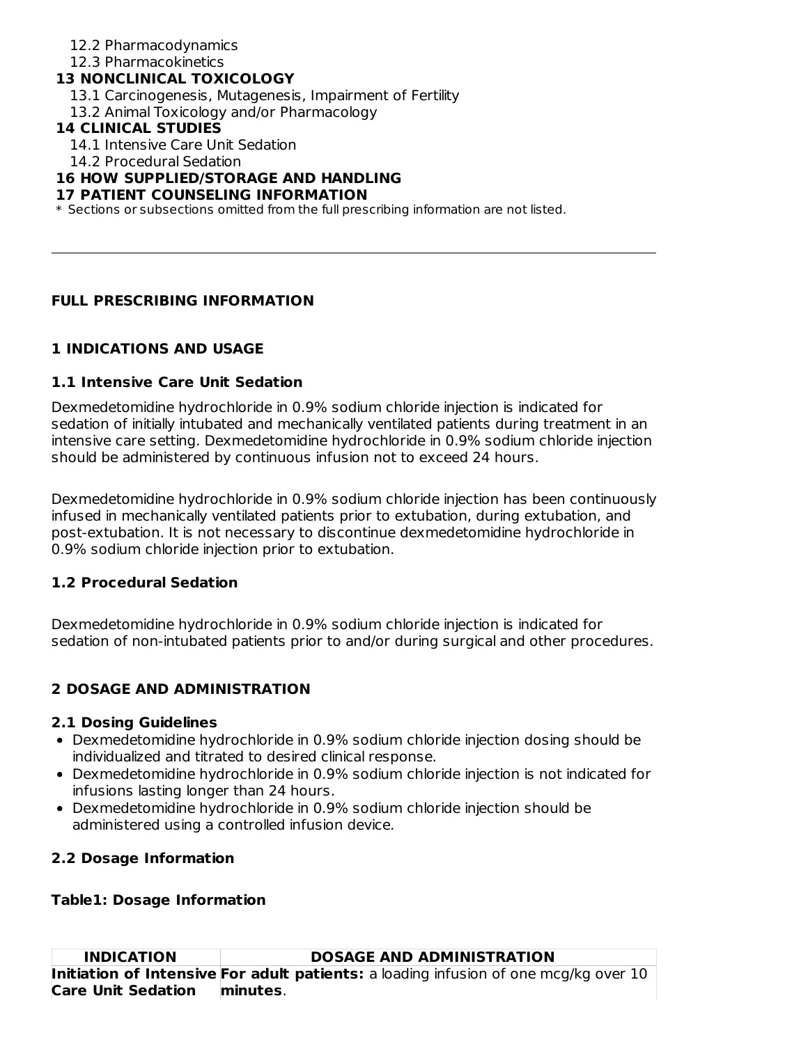12.2 Pharmacodynamics

12.3 Pharmacokinetics

### **13 NONCLINICAL TOXICOLOGY**

- 13.1 Carcinogenesis, Mutagenesis, Impairment of Fertility
- 13.2 Animal Toxicology and/or Pharmacology

## **14 CLINICAL STUDIES**

- 14.1 Intensive Care Unit Sedation
- 14.2 Procedural Sedation

## **16 HOW SUPPLIED/STORAGE AND HANDLING**

#### **17 PATIENT COUNSELING INFORMATION**

\* Sections or subsections omitted from the full prescribing information are not listed.

## **FULL PRESCRIBING INFORMATION**

## **1 INDICATIONS AND USAGE**

## **1.1 Intensive Care Unit Sedation**

Dexmedetomidine hydrochloride in 0.9% sodium chloride injection is indicated for sedation of initially intubated and mechanically ventilated patients during treatment in an intensive care setting. Dexmedetomidine hydrochloride in 0.9% sodium chloride injection should be administered by continuous infusion not to exceed 24 hours.

Dexmedetomidine hydrochloride in 0.9% sodium chloride injection has been continuously infused in mechanically ventilated patients prior to extubation, during extubation, and post-extubation. It is not necessary to discontinue dexmedetomidine hydrochloride in 0.9% sodium chloride injection prior to extubation.

#### **1.2 Procedural Sedation**

Dexmedetomidine hydrochloride in 0.9% sodium chloride injection is indicated for sedation of non-intubated patients prior to and/or during surgical and other procedures.

## **2 DOSAGE AND ADMINISTRATION**

#### **2.1 Dosing Guidelines**

- Dexmedetomidine hydrochloride in 0.9% sodium chloride injection dosing should be individualized and titrated to desired clinical response.
- Dexmedetomidine hydrochloride in 0.9% sodium chloride injection is not indicated for infusions lasting longer than 24 hours.
- Dexmedetomidine hydrochloride in 0.9% sodium chloride injection should be administered using a controlled infusion device.

## **2.2 Dosage Information**

#### **Table1: Dosage Information**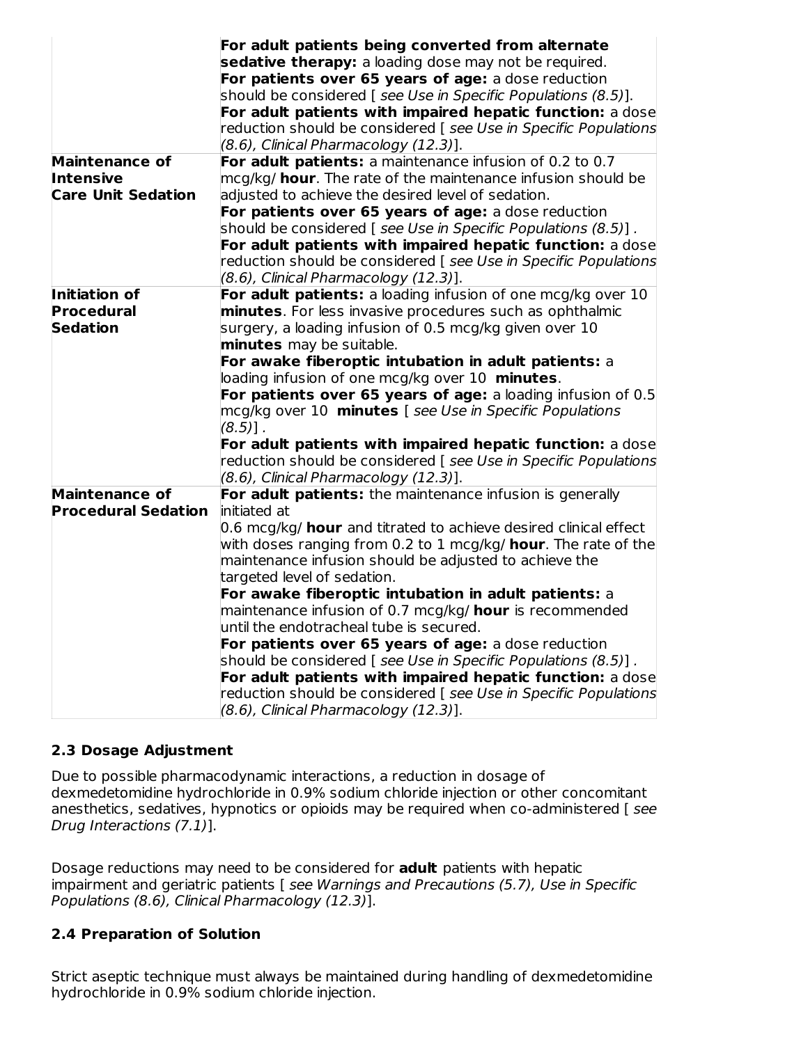|                            | For adult patients being converted from alternate<br>sedative therapy: a loading dose may not be required.            |
|----------------------------|-----------------------------------------------------------------------------------------------------------------------|
|                            | For patients over 65 years of age: a dose reduction                                                                   |
|                            | should be considered [ see Use in Specific Populations (8.5)].                                                        |
|                            | For adult patients with impaired hepatic function: a dose                                                             |
|                            | reduction should be considered [ see Use in Specific Populations                                                      |
|                            | (8.6), Clinical Pharmacology (12.3)].                                                                                 |
| <b>Maintenance of</b>      | For adult patients: a maintenance infusion of 0.2 to 0.7                                                              |
| <b>Intensive</b>           | mcg/kg/ <b>hour</b> . The rate of the maintenance infusion should be                                                  |
| <b>Care Unit Sedation</b>  | adjusted to achieve the desired level of sedation.                                                                    |
|                            | For patients over 65 years of age: a dose reduction                                                                   |
|                            | should be considered [ see Use in Specific Populations (8.5)].                                                        |
|                            | For adult patients with impaired hepatic function: a dose                                                             |
|                            | reduction should be considered [ see Use in Specific Populations                                                      |
|                            | (8.6), Clinical Pharmacology (12.3)].                                                                                 |
| Initiation of              | For adult patients: a loading infusion of one mcg/kg over 10                                                          |
| Procedural                 | minutes. For less invasive procedures such as ophthalmic                                                              |
| <b>Sedation</b>            | surgery, a loading infusion of 0.5 mcg/kg given over 10                                                               |
|                            | minutes may be suitable.                                                                                              |
|                            | For awake fiberoptic intubation in adult patients: a                                                                  |
|                            | loading infusion of one mcg/kg over 10 minutes.                                                                       |
|                            | For patients over 65 years of age: a loading infusion of 0.5                                                          |
|                            | mcg/kg over 10 minutes [ see Use in Specific Populations                                                              |
|                            | $(8.5)$ ].                                                                                                            |
|                            | For adult patients with impaired hepatic function: a dose                                                             |
|                            | reduction should be considered [ see Use in Specific Populations<br>(8.6), Clinical Pharmacology (12.3)].             |
| <b>Maintenance of</b>      | For adult patients: the maintenance infusion is generally                                                             |
| <b>Procedural Sedation</b> | initiated at                                                                                                          |
|                            | 0.6 mcg/kg/ <b>hour</b> and titrated to achieve desired clinical effect                                               |
|                            | with doses ranging from 0.2 to 1 mcg/kg/ <b>hour</b> . The rate of the                                                |
|                            | maintenance infusion should be adjusted to achieve the                                                                |
|                            | targeted level of sedation.                                                                                           |
|                            | For awake fiberoptic intubation in adult patients: a                                                                  |
|                            | maintenance infusion of 0.7 mcg/kg/ <b>hour</b> is recommended                                                        |
|                            | until the endotracheal tube is secured.                                                                               |
|                            | For patients over 65 years of age: a dose reduction<br>should be considered [ see Use in Specific Populations (8.5)]. |
|                            | For adult patients with impaired hepatic function: a dose                                                             |
|                            | reduction should be considered [ see Use in Specific Populations<br>(8.6), Clinical Pharmacology (12.3)].             |

## **2.3 Dosage Adjustment**

Due to possible pharmacodynamic interactions, a reduction in dosage of dexmedetomidine hydrochloride in 0.9% sodium chloride injection or other concomitant anesthetics, sedatives, hypnotics or opioids may be required when co-administered [ see Drug Interactions (7.1)].

Dosage reductions may need to be considered for **adult** patients with hepatic impairment and geriatric patients [ see Warnings and Precautions (5.7), Use in Specific Populations (8.6), Clinical Pharmacology (12.3)].

## **2.4 Preparation of Solution**

Strict aseptic technique must always be maintained during handling of dexmedetomidine hydrochloride in 0.9% sodium chloride injection.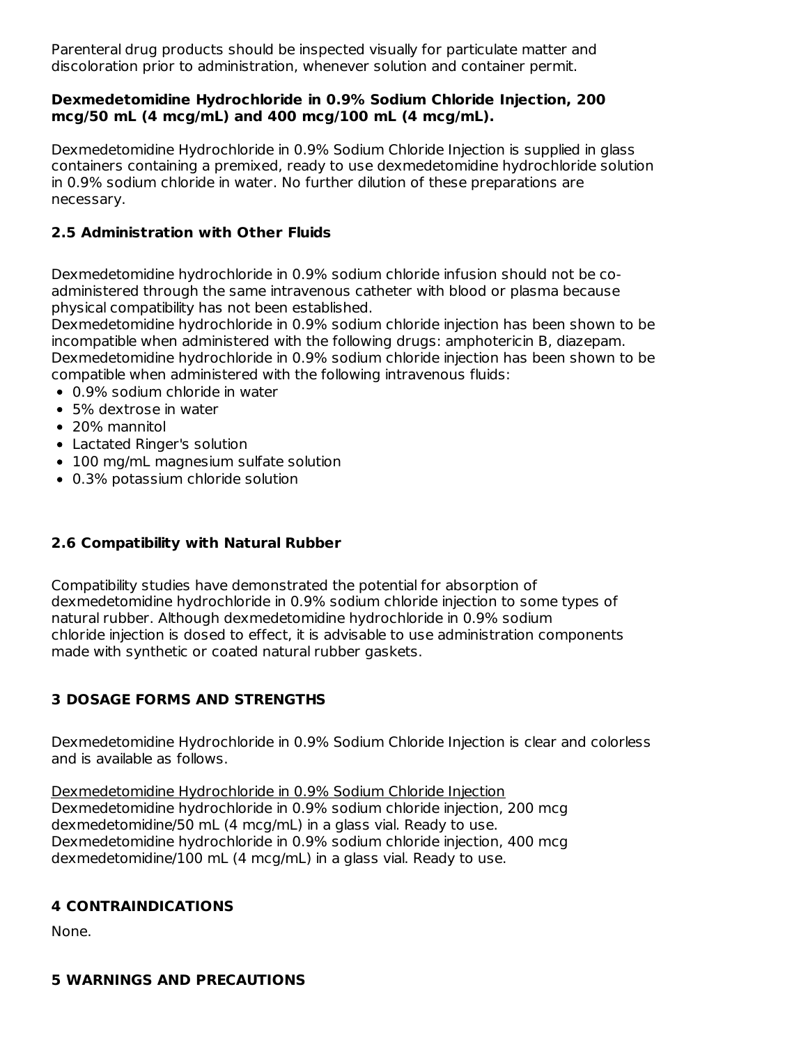Parenteral drug products should be inspected visually for particulate matter and discoloration prior to administration, whenever solution and container permit.

#### **Dexmedetomidine Hydrochloride in 0.9% Sodium Chloride Injection, 200 mcg/50 mL (4 mcg/mL) and 400 mcg/100 mL (4 mcg/mL).**

Dexmedetomidine Hydrochloride in 0.9% Sodium Chloride Injection is supplied in glass containers containing a premixed, ready to use dexmedetomidine hydrochloride solution in 0.9% sodium chloride in water. No further dilution of these preparations are necessary.

### **2.5 Administration with Other Fluids**

Dexmedetomidine hydrochloride in 0.9% sodium chloride infusion should not be coadministered through the same intravenous catheter with blood or plasma because physical compatibility has not been established.

Dexmedetomidine hydrochloride in 0.9% sodium chloride injection has been shown to be incompatible when administered with the following drugs: amphotericin B, diazepam. Dexmedetomidine hydrochloride in 0.9% sodium chloride injection has been shown to be compatible when administered with the following intravenous fluids:

- 0.9% sodium chloride in water
- 5% dextrose in water
- 20% mannitol
- Lactated Ringer's solution
- 100 mg/mL magnesium sulfate solution
- 0.3% potassium chloride solution

## **2.6 Compatibility with Natural Rubber**

Compatibility studies have demonstrated the potential for absorption of dexmedetomidine hydrochloride in 0.9% sodium chloride injection to some types of natural rubber. Although dexmedetomidine hydrochloride in 0.9% sodium chloride injection is dosed to effect, it is advisable to use administration components made with synthetic or coated natural rubber gaskets.

## **3 DOSAGE FORMS AND STRENGTHS**

Dexmedetomidine Hydrochloride in 0.9% Sodium Chloride Injection is clear and colorless and is available as follows.

Dexmedetomidine Hydrochloride in 0.9% Sodium Chloride Injection Dexmedetomidine hydrochloride in 0.9% sodium chloride injection, 200 mcg dexmedetomidine/50 mL (4 mcg/mL) in a glass vial. Ready to use. Dexmedetomidine hydrochloride in 0.9% sodium chloride injection, 400 mcg dexmedetomidine/100 mL (4 mcg/mL) in a glass vial. Ready to use.

## **4 CONTRAINDICATIONS**

None.

**5 WARNINGS AND PRECAUTIONS**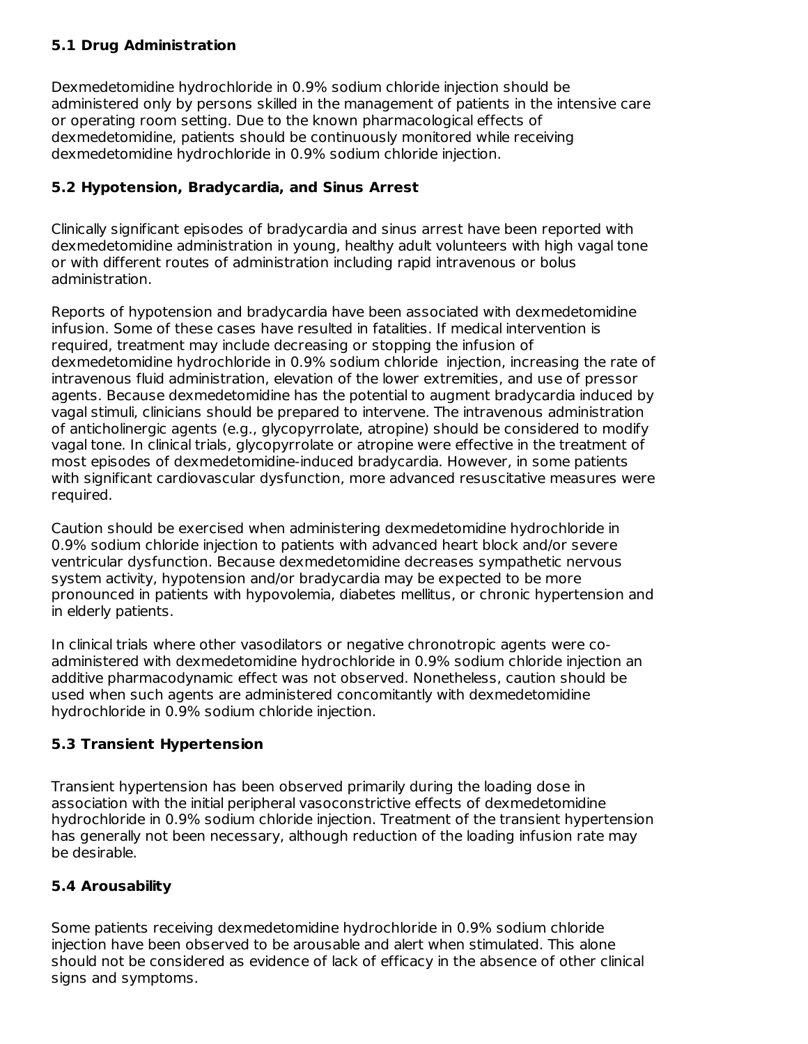## **5.1 Drug Administration**

Dexmedetomidine hydrochloride in 0.9% sodium chloride injection should be administered only by persons skilled in the management of patients in the intensive care or operating room setting. Due to the known pharmacological effects of dexmedetomidine, patients should be continuously monitored while receiving dexmedetomidine hydrochloride in 0.9% sodium chloride injection.

## **5.2 Hypotension, Bradycardia, and Sinus Arrest**

Clinically significant episodes of bradycardia and sinus arrest have been reported with dexmedetomidine administration in young, healthy adult volunteers with high vagal tone or with different routes of administration including rapid intravenous or bolus administration.

Reports of hypotension and bradycardia have been associated with dexmedetomidine infusion. Some of these cases have resulted in fatalities. If medical intervention is required, treatment may include decreasing or stopping the infusion of dexmedetomidine hydrochloride in 0.9% sodium chloride injection, increasing the rate of intravenous fluid administration, elevation of the lower extremities, and use of pressor agents. Because dexmedetomidine has the potential to augment bradycardia induced by vagal stimuli, clinicians should be prepared to intervene. The intravenous administration of anticholinergic agents (e.g., glycopyrrolate, atropine) should be considered to modify vagal tone. In clinical trials, glycopyrrolate or atropine were effective in the treatment of most episodes of dexmedetomidine-induced bradycardia. However, in some patients with significant cardiovascular dysfunction, more advanced resuscitative measures were required.

Caution should be exercised when administering dexmedetomidine hydrochloride in 0.9% sodium chloride injection to patients with advanced heart block and/or severe ventricular dysfunction. Because dexmedetomidine decreases sympathetic nervous system activity, hypotension and/or bradycardia may be expected to be more pronounced in patients with hypovolemia, diabetes mellitus, or chronic hypertension and in elderly patients.

In clinical trials where other vasodilators or negative chronotropic agents were coadministered with dexmedetomidine hydrochloride in 0.9% sodium chloride injection an additive pharmacodynamic effect was not observed. Nonetheless, caution should be used when such agents are administered concomitantly with dexmedetomidine hydrochloride in 0.9% sodium chloride injection.

# **5.3 Transient Hypertension**

Transient hypertension has been observed primarily during the loading dose in association with the initial peripheral vasoconstrictive effects of dexmedetomidine hydrochloride in 0.9% sodium chloride injection. Treatment of the transient hypertension has generally not been necessary, although reduction of the loading infusion rate may be desirable.

## **5.4 Arousability**

Some patients receiving dexmedetomidine hydrochloride in 0.9% sodium chloride injection have been observed to be arousable and alert when stimulated. This alone should not be considered as evidence of lack of efficacy in the absence of other clinical signs and symptoms.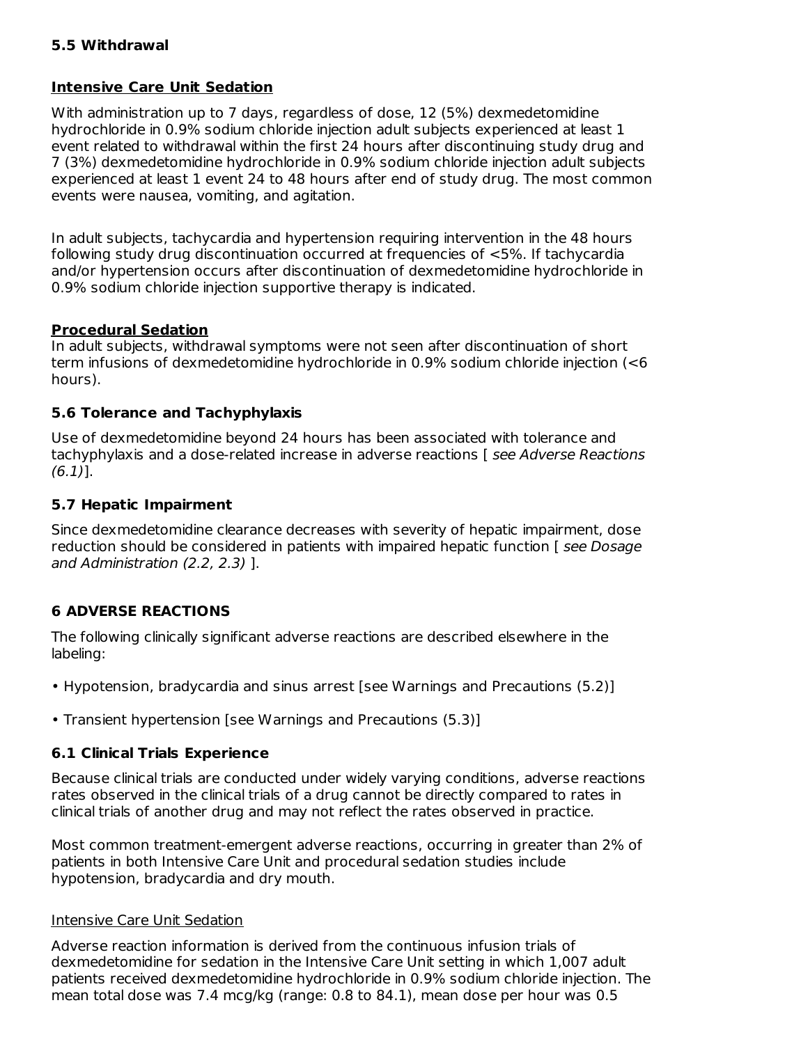#### **5.5 Withdrawal**

### **Intensive Care Unit Sedation**

With administration up to 7 days, regardless of dose, 12 (5%) dexmedetomidine hydrochloride in 0.9% sodium chloride injection adult subjects experienced at least 1 event related to withdrawal within the first 24 hours after discontinuing study drug and 7 (3%) dexmedetomidine hydrochloride in 0.9% sodium chloride injection adult subjects experienced at least 1 event 24 to 48 hours after end of study drug. The most common events were nausea, vomiting, and agitation.

In adult subjects, tachycardia and hypertension requiring intervention in the 48 hours following study drug discontinuation occurred at frequencies of <5%. If tachycardia and/or hypertension occurs after discontinuation of dexmedetomidine hydrochloride in 0.9% sodium chloride injection supportive therapy is indicated.

### **Procedural Sedation**

In adult subjects, withdrawal symptoms were not seen after discontinuation of short term infusions of dexmedetomidine hydrochloride in 0.9% sodium chloride injection (<6 hours).

### **5.6 Tolerance and Tachyphylaxis**

Use of dexmedetomidine beyond 24 hours has been associated with tolerance and tachyphylaxis and a dose-related increase in adverse reactions [see Adverse Reactions]  $(6.1)$ ].

### **5.7 Hepatic Impairment**

Since dexmedetomidine clearance decreases with severity of hepatic impairment, dose reduction should be considered in patients with impaired hepatic function [ see Dosage and Administration (2.2, 2.3) ].

## **6 ADVERSE REACTIONS**

The following clinically significant adverse reactions are described elsewhere in the labeling:

- Hypotension, bradycardia and sinus arrest [see Warnings and Precautions (5.2)]
- Transient hypertension [see Warnings and Precautions (5.3)]

## **6.1 Clinical Trials Experience**

Because clinical trials are conducted under widely varying conditions, adverse reactions rates observed in the clinical trials of a drug cannot be directly compared to rates in clinical trials of another drug and may not reflect the rates observed in practice.

Most common treatment-emergent adverse reactions, occurring in greater than 2% of patients in both Intensive Care Unit and procedural sedation studies include hypotension, bradycardia and dry mouth.

#### Intensive Care Unit Sedation

Adverse reaction information is derived from the continuous infusion trials of dexmedetomidine for sedation in the Intensive Care Unit setting in which 1,007 adult patients received dexmedetomidine hydrochloride in 0.9% sodium chloride injection. The mean total dose was 7.4 mcg/kg (range: 0.8 to 84.1), mean dose per hour was 0.5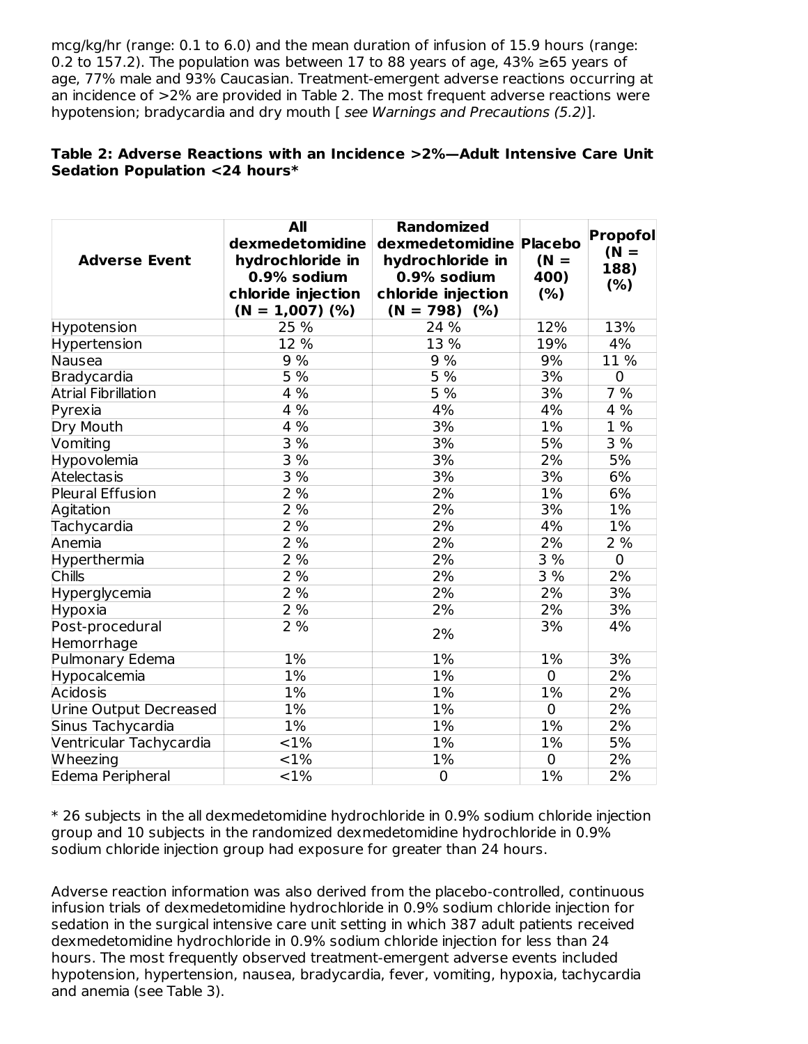mcg/kg/hr (range: 0.1 to 6.0) and the mean duration of infusion of 15.9 hours (range: 0.2 to 157.2). The population was between 17 to 88 years of age, 43%  $\geq$ 65 years of age, 77% male and 93% Caucasian. Treatment-emergent adverse reactions occurring at an incidence of >2% are provided in Table 2. The most frequent adverse reactions were hypotension; bradycardia and dry mouth [ see Warnings and Precautions (5.2)].

### **Table 2: Adverse Reactions with an Incidence >2%—Adult Intensive Care Unit Sedation Population <24 hours\***

| <b>Adverse Event</b>       | All<br>dexmedetomidine<br>hydrochloride in<br>0.9% sodium<br>chloride injection<br>$(N = 1,007)$ (%) | <b>Randomized</b><br>dexmedetomidine Placebo<br>hydrochloride in<br>0.9% sodium<br>chloride injection<br>$(N = 798)$ (%) | $(N =$<br>400)<br>(%) | Propofol<br>$(N =$<br>188)<br>(% ) |
|----------------------------|------------------------------------------------------------------------------------------------------|--------------------------------------------------------------------------------------------------------------------------|-----------------------|------------------------------------|
| Hypotension                | 25 %                                                                                                 | 24 %                                                                                                                     | 12%                   | 13%                                |
| Hypertension               | 12 %                                                                                                 | 13 %                                                                                                                     | 19%                   | 4%                                 |
| Nausea                     | 9%                                                                                                   | 9 %                                                                                                                      | 9%                    | 11 %                               |
| <b>Bradycardia</b>         | 5 %                                                                                                  | 5%                                                                                                                       | 3%                    | $\mathbf 0$                        |
| <b>Atrial Fibrillation</b> | 4 %                                                                                                  | $5\%$                                                                                                                    | 3%                    | 7%                                 |
| Pyrexia                    | 4%                                                                                                   | 4%                                                                                                                       | 4%                    | 4%                                 |
| Dry Mouth                  | 4%                                                                                                   | 3%                                                                                                                       | $1\%$                 | $1\%$                              |
| Vomiting                   | 3%                                                                                                   | 3%                                                                                                                       | 5%                    | 3%                                 |
| Hypovolemia                | 3%                                                                                                   | 3%                                                                                                                       | 2%                    | 5%                                 |
| Atelectasis                | 3 %                                                                                                  | 3%                                                                                                                       | 3%                    | 6%                                 |
| <b>Pleural Effusion</b>    | 2%                                                                                                   | 2%                                                                                                                       | 1%                    | 6%                                 |
| Agitation                  | 2%                                                                                                   | 2%                                                                                                                       | 3%                    | $1\%$                              |
| Tachycardia                | 2%                                                                                                   | 2%                                                                                                                       | 4%                    | 1%                                 |
| Anemia                     | 2%                                                                                                   | 2%                                                                                                                       | 2%                    | 2%                                 |
| Hyperthermia               | 2%                                                                                                   | 2%                                                                                                                       | 3 %                   | $\overline{0}$                     |
| <b>Chills</b>              | 2%                                                                                                   | 2%                                                                                                                       | 3 %                   | 2%                                 |
| Hyperglycemia              | 2%                                                                                                   | 2%                                                                                                                       | 2%                    | $\overline{3\%}$                   |
| Hypoxia                    | 2%                                                                                                   | 2%                                                                                                                       | 2%                    | 3%                                 |
| Post-procedural            | 2%                                                                                                   | 2%                                                                                                                       | 3%                    | 4%                                 |
| Hemorrhage                 |                                                                                                      |                                                                                                                          |                       |                                    |
| Pulmonary Edema            | 1%                                                                                                   | 1%                                                                                                                       | 1%                    | 3%                                 |
| Hypocalcemia               | $1\%$                                                                                                | 1%                                                                                                                       | $\overline{0}$        | $\overline{2\%}$                   |
| Acidosis                   | 1%                                                                                                   | 1%                                                                                                                       | 1%                    | 2%                                 |
| Urine Output Decreased     | $1\%$                                                                                                | $1\%$                                                                                                                    | $\mathbf 0$           | 2%                                 |
| Sinus Tachycardia          | $1\%$                                                                                                | $1\%$                                                                                                                    | $1\%$                 | 2%                                 |
| Ventricular Tachycardia    | <1%                                                                                                  | $1\%$                                                                                                                    | 1%                    | 5%                                 |
| Wheezing                   | $\overline{<}1\%$                                                                                    | 1%                                                                                                                       | $\mathbf 0$           | 2%                                 |
| Edema Peripheral           | $<$ 1%                                                                                               | $\mathbf 0$                                                                                                              | 1%                    | 2%                                 |

\* 26 subjects in the all dexmedetomidine hydrochloride in 0.9% sodium chloride injection group and 10 subjects in the randomized dexmedetomidine hydrochloride in 0.9% sodium chloride injection group had exposure for greater than 24 hours.

Adverse reaction information was also derived from the placebo-controlled, continuous infusion trials of dexmedetomidine hydrochloride in 0.9% sodium chloride injection for sedation in the surgical intensive care unit setting in which 387 adult patients received dexmedetomidine hydrochloride in 0.9% sodium chloride injection for less than 24 hours. The most frequently observed treatment-emergent adverse events included hypotension, hypertension, nausea, bradycardia, fever, vomiting, hypoxia, tachycardia and anemia (see Table 3).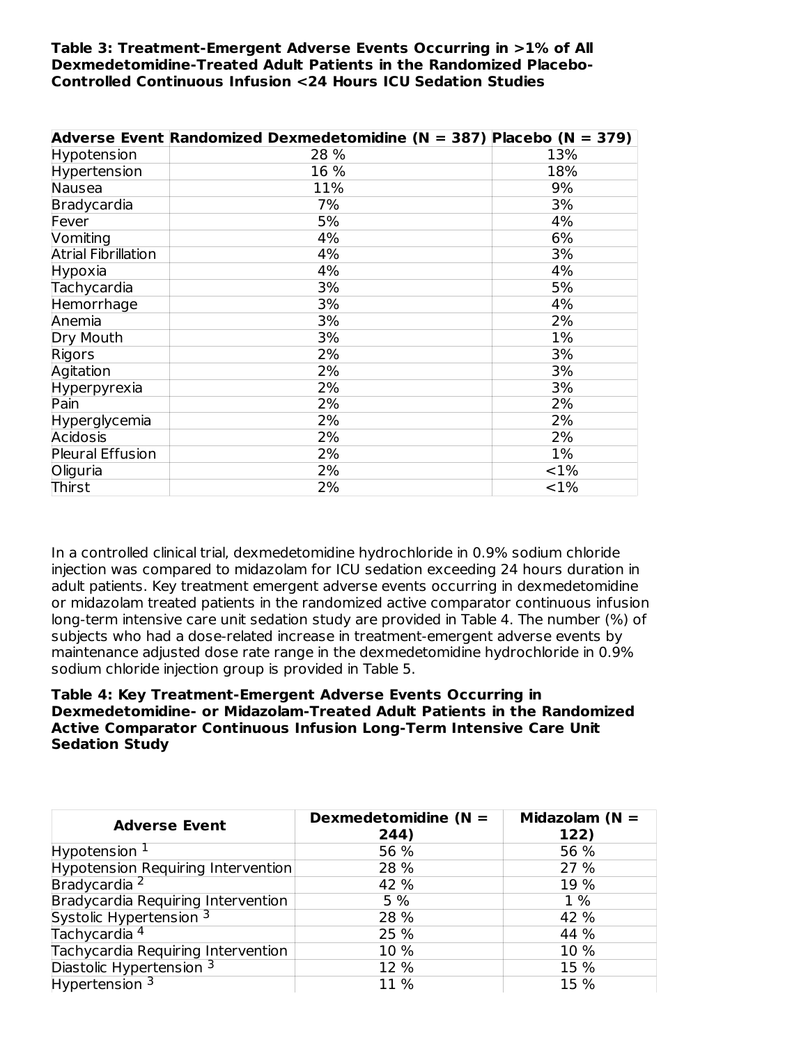#### **Table 3: Treatment-Emergent Adverse Events Occurring in >1% of All Dexmedetomidine-Treated Adult Patients in the Randomized Placebo-Controlled Continuous Infusion <24 Hours ICU Sedation Studies**

|                            | Adverse Event Randomized Dexmedetomidine (N = 387) Placebo (N = 379) |        |
|----------------------------|----------------------------------------------------------------------|--------|
| Hypotension                | 28 %                                                                 | 13%    |
| Hypertension               | 16 %                                                                 | 18%    |
| Nausea                     | 11%                                                                  | 9%     |
| Bradycardia                | 7%                                                                   | 3%     |
| Fever                      | 5%                                                                   | 4%     |
| Vomiting                   | 4%                                                                   | 6%     |
| <b>Atrial Fibrillation</b> | 4%                                                                   | 3%     |
| Hypoxia                    | 4%                                                                   | 4%     |
| Tachycardia                | 3%                                                                   | 5%     |
| Hemorrhage                 | 3%                                                                   | 4%     |
| Anemia                     | 3%                                                                   | 2%     |
| Dry Mouth                  | 3%                                                                   | 1%     |
| Rigors                     | 2%                                                                   | 3%     |
| Agitation                  | 2%                                                                   | 3%     |
| Hyperpyrexia               | 2%                                                                   | 3%     |
| Pain                       | 2%                                                                   | 2%     |
| Hyperglycemia              | 2%                                                                   | 2%     |
| Acidosis                   | 2%                                                                   | 2%     |
| Pleural Effusion           | 2%                                                                   | $1\%$  |
| Oliguria                   | 2%                                                                   | $<$ 1% |
| Thirst                     | 2%                                                                   | <1%    |

In a controlled clinical trial, dexmedetomidine hydrochloride in 0.9% sodium chloride injection was compared to midazolam for ICU sedation exceeding 24 hours duration in adult patients. Key treatment emergent adverse events occurring in dexmedetomidine or midazolam treated patients in the randomized active comparator continuous infusion long-term intensive care unit sedation study are provided in Table 4. The number (%) of subjects who had a dose-related increase in treatment-emergent adverse events by maintenance adjusted dose rate range in the dexmedetomidine hydrochloride in 0.9% sodium chloride injection group is provided in Table 5.

#### **Table 4: Key Treatment-Emergent Adverse Events Occurring in Dexmedetomidine- or Midazolam-Treated Adult Patients in the Randomized Active Comparator Continuous Infusion Long-Term Intensive Care Unit Sedation Study**

| <b>Adverse Event</b>               | Dexmedetomidine ( $N =$<br>244) | Midazolam ( $N =$<br>122) |
|------------------------------------|---------------------------------|---------------------------|
| Hypotension $1$                    | 56 %                            | 56 %                      |
| Hypotension Requiring Intervention | 28 %                            | 27 %                      |
| Bradycardia <sup>2</sup>           | 42 %                            | 19 %                      |
| Bradycardia Requiring Intervention | 5 %                             | $1\%$                     |
| Systolic Hypertension 3            | 28 %                            | 42 %                      |
| Tachycardia <sup>4</sup>           | 25 %                            | 44 %                      |
| Tachycardia Requiring Intervention | 10 %                            | 10 %                      |
| Diastolic Hypertension 3           | 12 %                            | 15 %                      |
| Hypertension <sup>3</sup>          | 11 %                            | 15 %                      |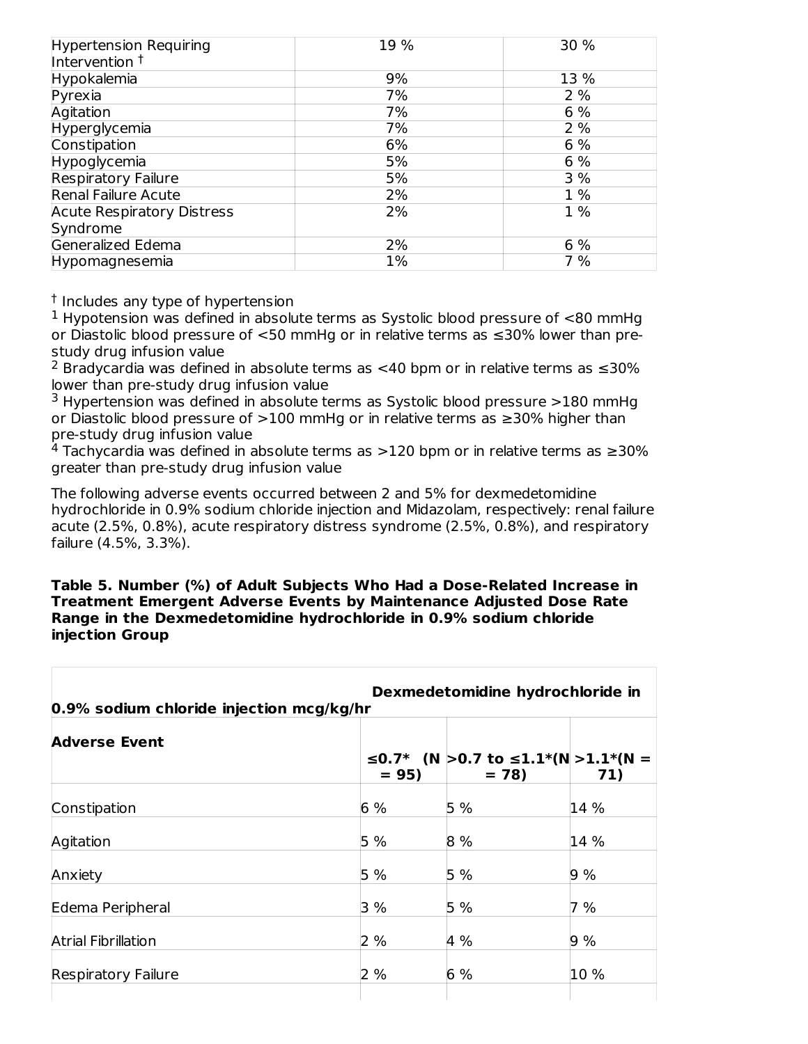| <b>Hypertension Requiring</b><br>Intervention <sup>†</sup> | 19 % | 30 %  |
|------------------------------------------------------------|------|-------|
| Hypokalemia                                                | 9%   | 13 %  |
| Pyrexia                                                    | 7%   | 2%    |
| Agitation                                                  | 7%   | 6 %   |
| Hyperglycemia                                              | 7%   | 2%    |
| Constipation                                               | 6%   | 6 %   |
| Hypoglycemia                                               | 5%   | 6 %   |
| <b>Respiratory Failure</b>                                 | 5%   | 3%    |
| <b>Renal Failure Acute</b>                                 | 2%   | 1 %   |
| <b>Acute Respiratory Distress</b>                          | 2%   | $1\%$ |
| Syndrome                                                   |      |       |
| Generalized Edema                                          | 2%   | 6 %   |
| Hypomagnesemia                                             | 1%   | 7 %   |

<sup>†</sup> Includes any type of hypertension

 $1$  Hypotension was defined in absolute terms as Systolic blood pressure of  $<$ 80 mmHg or Diastolic blood pressure of <50 mmHg or in relative terms as ≤30% lower than prestudy drug infusion value

<sup>2</sup> Bradycardia was defined in absolute terms as <40 bpm or in relative terms as  $\leq$ 30% lower than pre-study drug infusion value

 $3$  Hypertension was defined in absolute terms as Systolic blood pressure  $>180$  mmHg or Diastolic blood pressure of >100 mmHg or in relative terms as ≥30% higher than pre-study drug infusion value

 $4$  Tachycardia was defined in absolute terms as  $>$ 120 bpm or in relative terms as  $\geq$ 30% greater than pre-study drug infusion value

The following adverse events occurred between 2 and 5% for dexmedetomidine hydrochloride in 0.9% sodium chloride injection and Midazolam, respectively: renal failure acute (2.5%, 0.8%), acute respiratory distress syndrome (2.5%, 0.8%), and respiratory failure (4.5%, 3.3%).

**Table 5. Number (%) of Adult Subjects Who Had a Dose-Related Increase in Treatment Emergent Adverse Events by Maintenance Adjusted Dose Rate Range in the Dexmedetomidine hydrochloride in 0.9% sodium chloride injection Group**

| Dexmedetomidine hydrochloride in<br>0.9% sodium chloride injection mcg/kg/hr |        |                                                |      |
|------------------------------------------------------------------------------|--------|------------------------------------------------|------|
| <b>Adverse Event</b>                                                         | $= 95$ | ≤0.7* (N > 0.7 to ≤1.1*(N > 1.1*(N =<br>$= 78$ | 71)  |
| Constipation                                                                 | 6%     | 5%                                             | 14 % |
| Agitation                                                                    | 5 %    | 8 %                                            | 14 % |
| Anxiety                                                                      | 5%     | 5%                                             | 9%   |
| Edema Peripheral                                                             | 3 %    | 5%                                             | 7 %  |
| <b>Atrial Fibrillation</b>                                                   | 2 %    | 4 %                                            | 9%   |
| <b>Respiratory Failure</b>                                                   | 2 %    | 6%                                             | 10 % |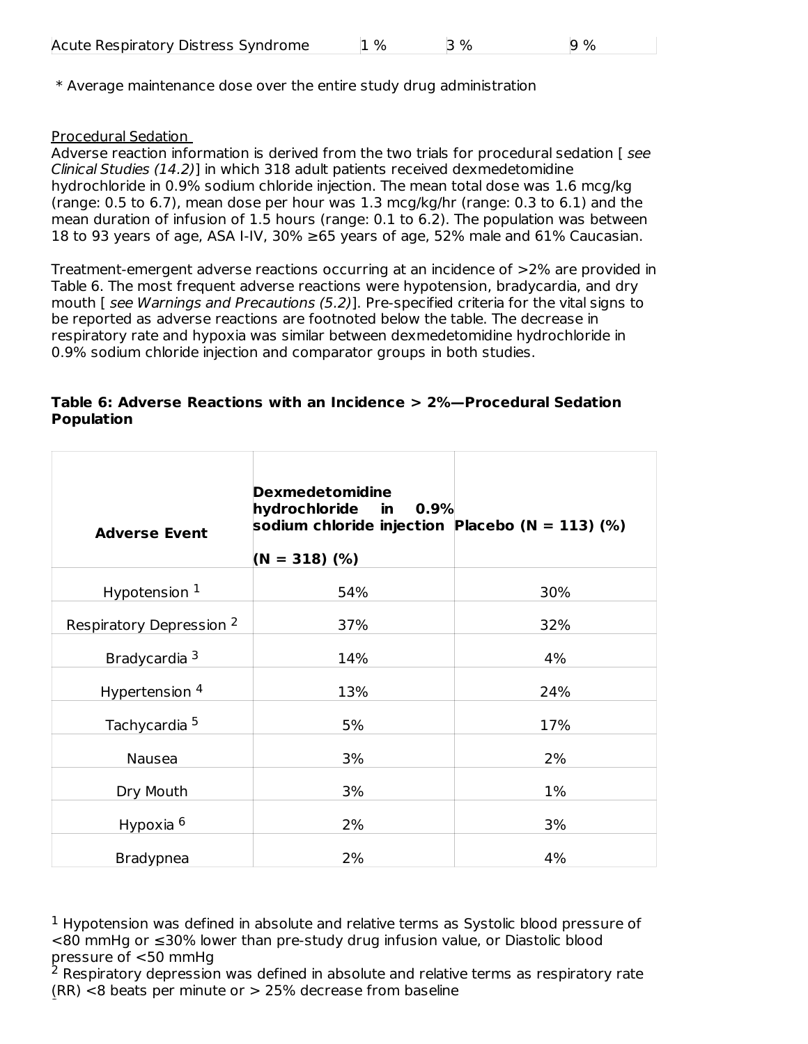\* Average maintenance dose over the entire study drug administration

### Procedural Sedation

Adverse reaction information is derived from the two trials for procedural sedation [ see Clinical Studies (14.2)] in which 318 adult patients received dexmedetomidine hydrochloride in 0.9% sodium chloride injection. The mean total dose was 1.6 mcg/kg (range: 0.5 to 6.7), mean dose per hour was 1.3 mcg/kg/hr (range: 0.3 to 6.1) and the mean duration of infusion of 1.5 hours (range: 0.1 to 6.2). The population was between 18 to 93 years of age, ASA I-IV, 30% ≥65 years of age, 52% male and 61% Caucasian.

Treatment-emergent adverse reactions occurring at an incidence of >2% are provided in Table 6. The most frequent adverse reactions were hypotension, bradycardia, and dry mouth [ see Warnings and Precautions (5.2)]. Pre-specified criteria for the vital signs to be reported as adverse reactions are footnoted below the table. The decrease in respiratory rate and hypoxia was similar between dexmedetomidine hydrochloride in 0.9% sodium chloride injection and comparator groups in both studies.

#### **Table 6: Adverse Reactions with an Incidence > 2%—Procedural Sedation Population**

| <b>Adverse Event</b>                | <b>Dexmedetomidine</b><br>hydrochloride in<br>0.9%<br>sodium chloride injection Placebo (N = 113) (%)<br>$(N = 318)$ (%) |     |
|-------------------------------------|--------------------------------------------------------------------------------------------------------------------------|-----|
| Hypotension $1$                     | 54%                                                                                                                      | 30% |
| Respiratory Depression <sup>2</sup> | 37%                                                                                                                      | 32% |
| Bradycardia <sup>3</sup>            | 14%                                                                                                                      | 4%  |
| Hypertension <sup>4</sup>           | 13%                                                                                                                      | 24% |
| Tachycardia <sup>5</sup>            | 5%                                                                                                                       | 17% |
| Nausea                              | 3%                                                                                                                       | 2%  |
| Dry Mouth                           | 3%                                                                                                                       | 1%  |
| Hypoxia 6                           | 2%                                                                                                                       | 3%  |
| <b>Bradypnea</b>                    | 2%                                                                                                                       | 4%  |

 $1$  Hypotension was defined in absolute and relative terms as Systolic blood pressure of <80 mmHg or ≤30% lower than pre-study drug infusion value, or Diastolic blood pressure of <50 mmHg

 $2$  Respiratory depression was defined in absolute and relative terms as respiratory rate (RR) <8 beats per minute or > 25% decrease from baseline 3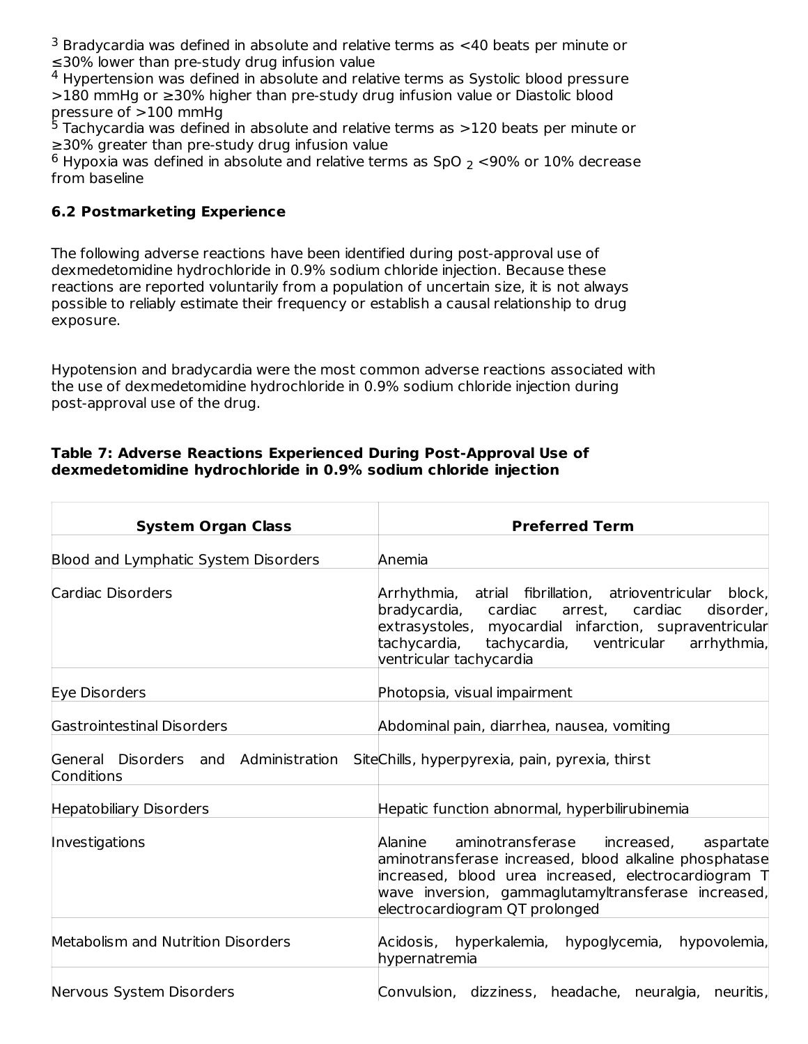$3$  Bradycardia was defined in absolute and relative terms as  $<$ 40 beats per minute or ≤30% lower than pre-study drug infusion value

 $4$  Hypertension was defined in absolute and relative terms as Systolic blood pressure >180 mmHg or ≥30% higher than pre-study drug infusion value or Diastolic blood pressure of >100 mmHg

 $5$  Tachycardia was defined in absolute and relative terms as  $>$ 120 beats per minute or ≥30% greater than pre-study drug infusion value

 $^6$  Hypoxia was defined in absolute and relative terms as SpO  $_2$  <90% or 10% decrease from baseline

## **6.2 Postmarketing Experience**

The following adverse reactions have been identified during post-approval use of dexmedetomidine hydrochloride in 0.9% sodium chloride injection. Because these reactions are reported voluntarily from a population of uncertain size, it is not always possible to reliably estimate their frequency or establish a causal relationship to drug exposure.

Hypotension and bradycardia were the most common adverse reactions associated with the use of dexmedetomidine hydrochloride in 0.9% sodium chloride injection during post-approval use of the drug.

#### **Table 7: Adverse Reactions Experienced During Post-Approval Use of dexmedetomidine hydrochloride in 0.9% sodium chloride injection**

| <b>System Organ Class</b>                          | <b>Preferred Term</b>                                                                                                                                                                                                                                                        |
|----------------------------------------------------|------------------------------------------------------------------------------------------------------------------------------------------------------------------------------------------------------------------------------------------------------------------------------|
| Blood and Lymphatic System Disorders               | Anemia                                                                                                                                                                                                                                                                       |
| Cardiac Disorders                                  | Arrhythmia,<br>atrial fibrillation, atrioventricular<br>block,<br>bradycardia,<br>disorder,<br>cardiac<br>arrest,<br>cardiac<br>extrasystoles, myocardial infarction, supraventricular<br>tachycardia,<br>arrhythmia,<br>tachycardia, ventricular<br>ventricular tachycardia |
| Eye Disorders                                      | Photopsia, visual impairment                                                                                                                                                                                                                                                 |
| Gastrointestinal Disorders                         | Abdominal pain, diarrhea, nausea, vomiting                                                                                                                                                                                                                                   |
| General Disorders and Administration<br>Conditions | SiteChills, hyperpyrexia, pain, pyrexia, thirst                                                                                                                                                                                                                              |
| Hepatobiliary Disorders                            | Hepatic function abnormal, hyperbilirubinemia                                                                                                                                                                                                                                |
| Investigations                                     | aminotransferase<br>Alanine<br>increased,<br>aspartate<br>aminotransferase increased, blood alkaline phosphatase<br>increased, blood urea increased, electrocardiogram T<br>wave inversion, gammaglutamyltransferase increased,<br>electrocardiogram QT prolonged            |
| Metabolism and Nutrition Disorders                 | Acidosis, hyperkalemia, hypoglycemia, hypovolemia,<br>hypernatremia                                                                                                                                                                                                          |
| Nervous System Disorders                           | Convulsion, dizziness, headache, neuralgia, neuritis,                                                                                                                                                                                                                        |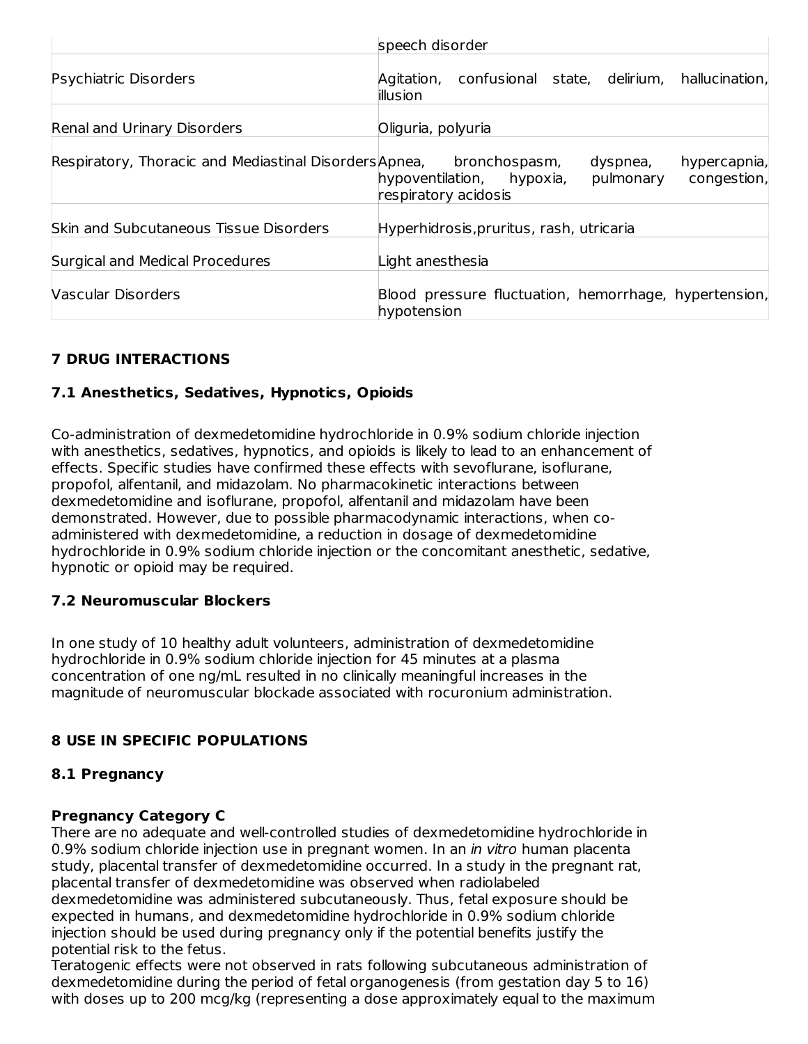|                                                                      | speech disorder                                                                                              |
|----------------------------------------------------------------------|--------------------------------------------------------------------------------------------------------------|
| Psychiatric Disorders                                                | Agitation, confusional state, delirium, hallucination,<br>illusion                                           |
| Renal and Urinary Disorders                                          | Oliguria, polyuria                                                                                           |
| Respiratory, Thoracic and Mediastinal Disorders Apnea, bronchospasm, | hypercapnia,<br>dyspnea,<br>congestion,<br>hypoventilation,<br>hypoxia,<br>pulmonary<br>respiratory acidosis |
| <b>Skin and Subcutaneous Tissue Disorders</b>                        | Hyperhidrosis, pruritus, rash, utricaria                                                                     |
| Surgical and Medical Procedures                                      | Light anesthesia                                                                                             |
| <b>Vascular Disorders</b>                                            | Blood pressure fluctuation, hemorrhage, hypertension,<br>hypotension                                         |

# **7 DRUG INTERACTIONS**

## **7.1 Anesthetics, Sedatives, Hypnotics, Opioids**

Co-administration of dexmedetomidine hydrochloride in 0.9% sodium chloride injection with anesthetics, sedatives, hypnotics, and opioids is likely to lead to an enhancement of effects. Specific studies have confirmed these effects with sevoflurane, isoflurane, propofol, alfentanil, and midazolam. No pharmacokinetic interactions between dexmedetomidine and isoflurane, propofol, alfentanil and midazolam have been demonstrated. However, due to possible pharmacodynamic interactions, when coadministered with dexmedetomidine, a reduction in dosage of dexmedetomidine hydrochloride in 0.9% sodium chloride injection or the concomitant anesthetic, sedative, hypnotic or opioid may be required.

## **7.2 Neuromuscular Blockers**

In one study of 10 healthy adult volunteers, administration of dexmedetomidine hydrochloride in 0.9% sodium chloride injection for 45 minutes at a plasma concentration of one ng/mL resulted in no clinically meaningful increases in the magnitude of neuromuscular blockade associated with rocuronium administration.

## **8 USE IN SPECIFIC POPULATIONS**

#### **8.1 Pregnancy**

#### **Pregnancy Category C**

There are no adequate and well-controlled studies of dexmedetomidine hydrochloride in 0.9% sodium chloride injection use in pregnant women. In an *in vitro* human placenta study, placental transfer of dexmedetomidine occurred. In a study in the pregnant rat, placental transfer of dexmedetomidine was observed when radiolabeled dexmedetomidine was administered subcutaneously. Thus, fetal exposure should be expected in humans, and dexmedetomidine hydrochloride in 0.9% sodium chloride injection should be used during pregnancy only if the potential benefits justify the potential risk to the fetus.

Teratogenic effects were not observed in rats following subcutaneous administration of dexmedetomidine during the period of fetal organogenesis (from gestation day 5 to 16) with doses up to 200 mcg/kg (representing a dose approximately equal to the maximum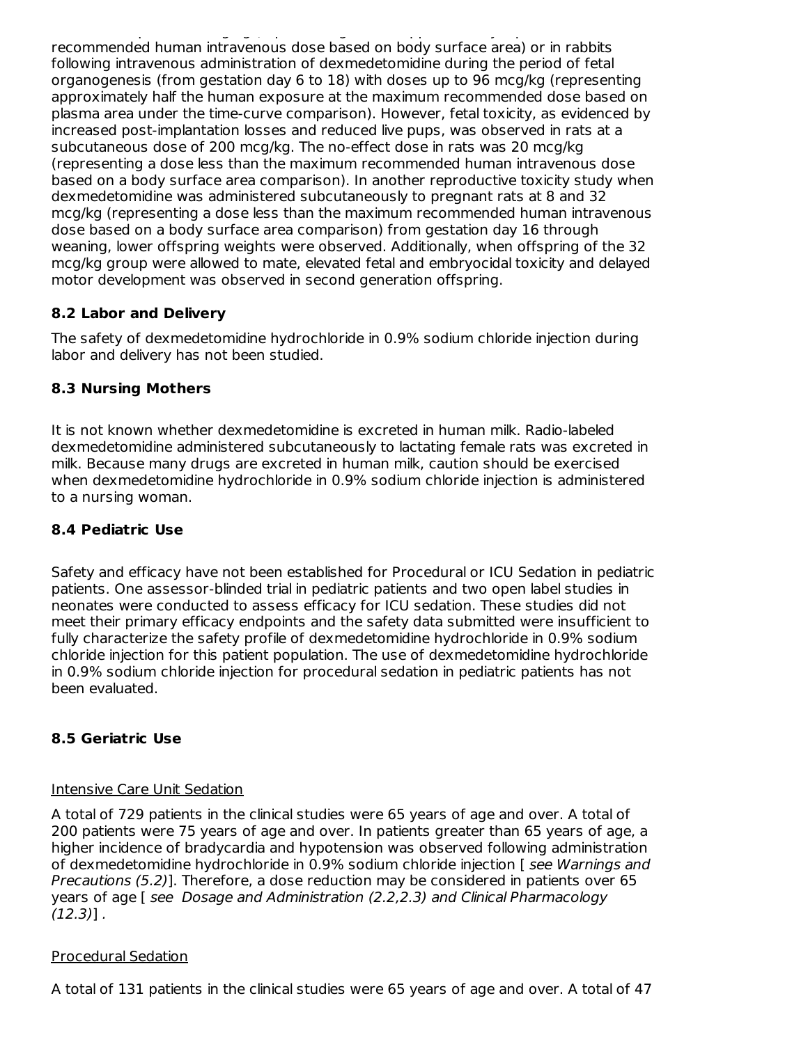with doses up to 200 mcg/kg (representing a dose approximately equal to the maximum recommended human intravenous dose based on body surface area) or in rabbits following intravenous administration of dexmedetomidine during the period of fetal organogenesis (from gestation day 6 to 18) with doses up to 96 mcg/kg (representing approximately half the human exposure at the maximum recommended dose based on plasma area under the time-curve comparison). However, fetal toxicity, as evidenced by increased post-implantation losses and reduced live pups, was observed in rats at a subcutaneous dose of 200 mcg/kg. The no-effect dose in rats was 20 mcg/kg (representing a dose less than the maximum recommended human intravenous dose based on a body surface area comparison). In another reproductive toxicity study when dexmedetomidine was administered subcutaneously to pregnant rats at 8 and 32 mcg/kg (representing a dose less than the maximum recommended human intravenous dose based on a body surface area comparison) from gestation day 16 through weaning, lower offspring weights were observed. Additionally, when offspring of the 32 mcg/kg group were allowed to mate, elevated fetal and embryocidal toxicity and delayed motor development was observed in second generation offspring.

## **8.2 Labor and Delivery**

The safety of dexmedetomidine hydrochloride in 0.9% sodium chloride injection during labor and delivery has not been studied.

## **8.3 Nursing Mothers**

It is not known whether dexmedetomidine is excreted in human milk. Radio-labeled dexmedetomidine administered subcutaneously to lactating female rats was excreted in milk. Because many drugs are excreted in human milk, caution should be exercised when dexmedetomidine hydrochloride in 0.9% sodium chloride injection is administered to a nursing woman.

### **8.4 Pediatric Use**

Safety and efficacy have not been established for Procedural or ICU Sedation in pediatric patients. One assessor-blinded trial in pediatric patients and two open label studies in neonates were conducted to assess efficacy for ICU sedation. These studies did not meet their primary efficacy endpoints and the safety data submitted were insufficient to fully characterize the safety profile of dexmedetomidine hydrochloride in 0.9% sodium chloride injection for this patient population. The use of dexmedetomidine hydrochloride in 0.9% sodium chloride injection for procedural sedation in pediatric patients has not been evaluated.

#### **8.5 Geriatric Use**

#### Intensive Care Unit Sedation

A total of 729 patients in the clinical studies were 65 years of age and over. A total of 200 patients were 75 years of age and over. In patients greater than 65 years of age, a higher incidence of bradycardia and hypotension was observed following administration of dexmedetomidine hydrochloride in 0.9% sodium chloride injection [ see Warnings and Precautions (5.2)]. Therefore, a dose reduction may be considered in patients over 65 years of age [ see Dosage and Administration (2.2,2.3) and Clinical Pharmacology  $(12.3)$ ].

#### Procedural Sedation

A total of 131 patients in the clinical studies were 65 years of age and over. A total of 47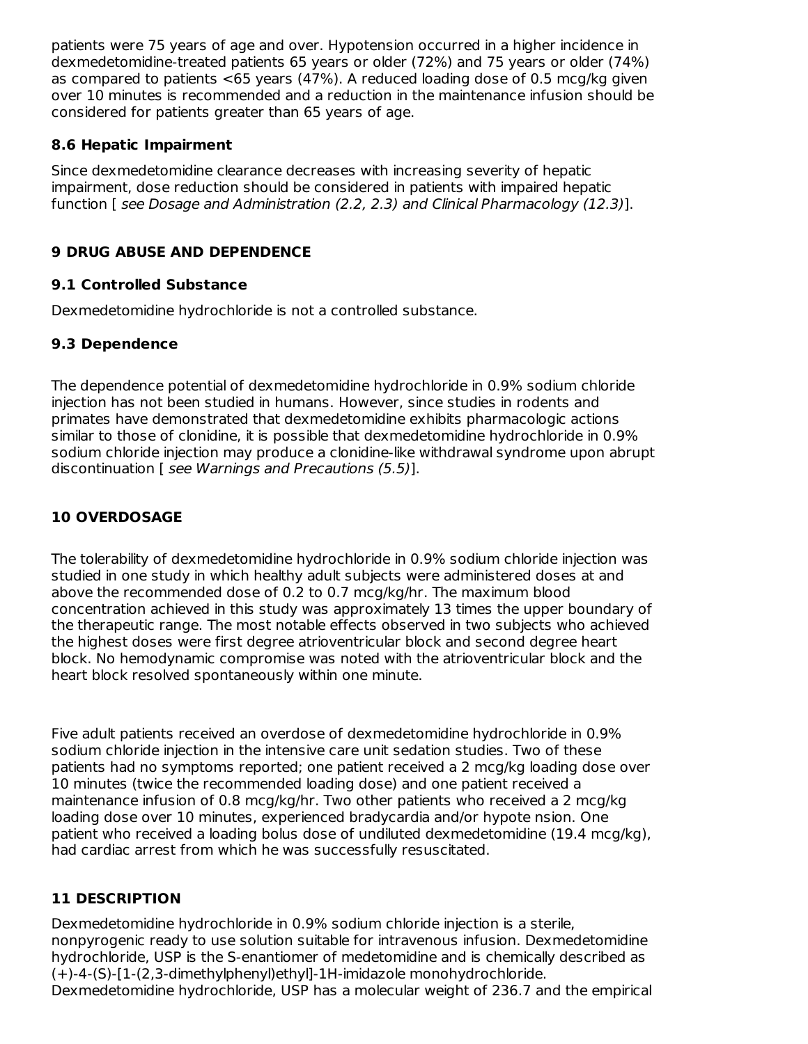patients were 75 years of age and over. Hypotension occurred in a higher incidence in dexmedetomidine-treated patients 65 years or older (72%) and 75 years or older (74%) as compared to patients <65 years (47%). A reduced loading dose of 0.5 mcg/kg given over 10 minutes is recommended and a reduction in the maintenance infusion should be considered for patients greater than 65 years of age.

## **8.6 Hepatic Impairment**

Since dexmedetomidine clearance decreases with increasing severity of hepatic impairment, dose reduction should be considered in patients with impaired hepatic function [see Dosage and Administration (2.2, 2.3) and Clinical Pharmacology (12.3)].

# **9 DRUG ABUSE AND DEPENDENCE**

## **9.1 Controlled Substance**

Dexmedetomidine hydrochloride is not a controlled substance.

# **9.3 Dependence**

The dependence potential of dexmedetomidine hydrochloride in 0.9% sodium chloride injection has not been studied in humans. However, since studies in rodents and primates have demonstrated that dexmedetomidine exhibits pharmacologic actions similar to those of clonidine, it is possible that dexmedetomidine hydrochloride in 0.9% sodium chloride injection may produce a clonidine-like withdrawal syndrome upon abrupt discontinuation [ see Warnings and Precautions (5.5)].

# **10 OVERDOSAGE**

The tolerability of dexmedetomidine hydrochloride in 0.9% sodium chloride injection was studied in one study in which healthy adult subjects were administered doses at and above the recommended dose of 0.2 to 0.7 mcg/kg/hr. The maximum blood concentration achieved in this study was approximately 13 times the upper boundary of the therapeutic range. The most notable effects observed in two subjects who achieved the highest doses were first degree atrioventricular block and second degree heart block. No hemodynamic compromise was noted with the atrioventricular block and the heart block resolved spontaneously within one minute.

Five adult patients received an overdose of dexmedetomidine hydrochloride in 0.9% sodium chloride injection in the intensive care unit sedation studies. Two of these patients had no symptoms reported; one patient received a 2 mcg/kg loading dose over 10 minutes (twice the recommended loading dose) and one patient received a maintenance infusion of 0.8 mcg/kg/hr. Two other patients who received a 2 mcg/kg loading dose over 10 minutes, experienced bradycardia and/or hypote nsion. One patient who received a loading bolus dose of undiluted dexmedetomidine (19.4 mcg/kg), had cardiac arrest from which he was successfully resuscitated.

# **11 DESCRIPTION**

Dexmedetomidine hydrochloride in 0.9% sodium chloride injection is a sterile, nonpyrogenic ready to use solution suitable for intravenous infusion. Dexmedetomidine hydrochloride, USP is the S-enantiomer of medetomidine and is chemically described as (+)-4-(S)-[1-(2,3-dimethylphenyl)ethyl]-1H-imidazole monohydrochloride. Dexmedetomidine hydrochloride, USP has a molecular weight of 236.7 and the empirical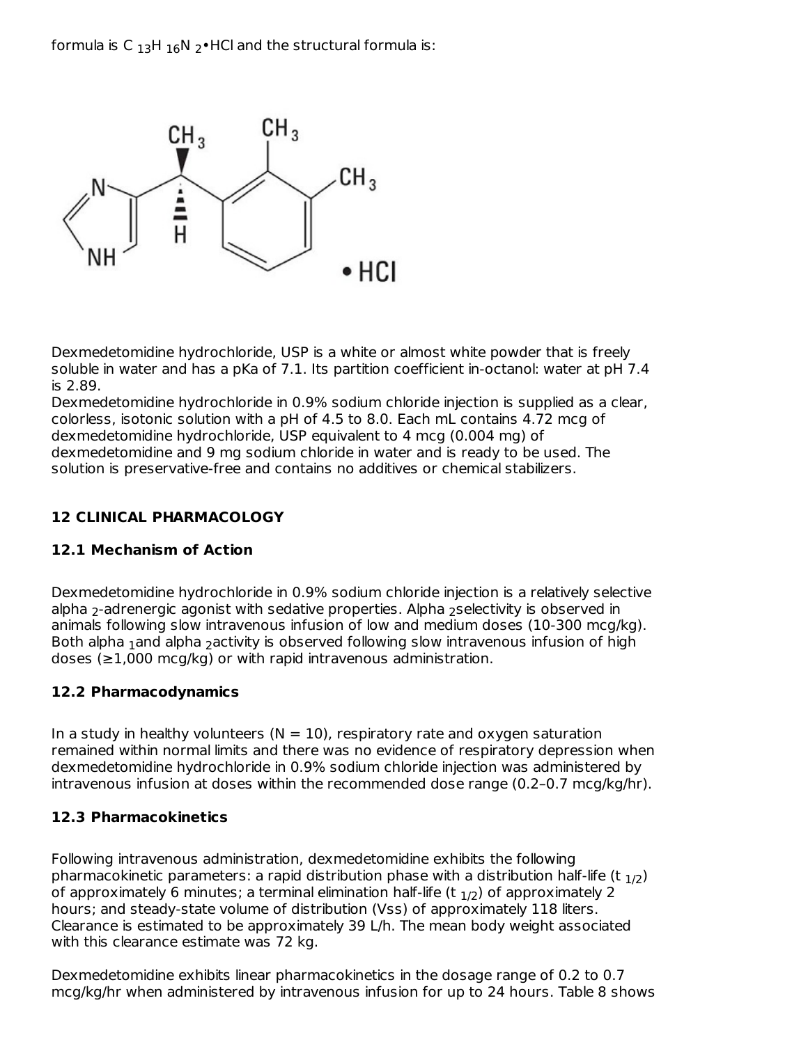formula is C  $_{13}$ H  $_{16}$ N  $_{2}$ •HCl and the structural formula is:



Dexmedetomidine hydrochloride, USP is a white or almost white powder that is freely soluble in water and has a pKa of 7.1. Its partition coefficient in-octanol: water at pH 7.4 is 2.89.

Dexmedetomidine hydrochloride in 0.9% sodium chloride injection is supplied as a clear, colorless, isotonic solution with a pH of 4.5 to 8.0. Each mL contains 4.72 mcg of dexmedetomidine hydrochloride, USP equivalent to 4 mcg (0.004 mg) of dexmedetomidine and 9 mg sodium chloride in water and is ready to be used. The solution is preservative-free and contains no additives or chemical stabilizers.

# **12 CLINICAL PHARMACOLOGY**

## **12.1 Mechanism of Action**

Dexmedetomidine hydrochloride in 0.9% sodium chloride injection is a relatively selective alpha  $_2$ -adrenergic agonist with sedative properties. Alpha  $_2$ selectivity is observed in animals following slow intravenous infusion of low and medium doses (10-300 mcg/kg). Both alpha  $_1$ and alpha  $_2$ activity is observed following slow intravenous infusion of high doses ( $\geq$ 1,000 mcg/kg) or with rapid intravenous administration.

## **12.2 Pharmacodynamics**

In a study in healthy volunteers  $(N = 10)$ , respiratory rate and oxygen saturation remained within normal limits and there was no evidence of respiratory depression when dexmedetomidine hydrochloride in 0.9% sodium chloride injection was administered by intravenous infusion at doses within the recommended dose range (0.2–0.7 mcg/kg/hr).

## **12.3 Pharmacokinetics**

Following intravenous administration, dexmedetomidine exhibits the following pharmacokinetic parameters: a rapid distribution phase with a distribution half-life (t  $_{1/2}$ ) of approximately 6 minutes; a terminal elimination half-life (t  $_{\rm 1/2}$ ) of approximately 2 hours; and steady-state volume of distribution (Vss) of approximately 118 liters. Clearance is estimated to be approximately 39 L/h. The mean body weight associated with this clearance estimate was 72 kg.

Dexmedetomidine exhibits linear pharmacokinetics in the dosage range of 0.2 to 0.7 mcg/kg/hr when administered by intravenous infusion for up to 24 hours. Table 8 shows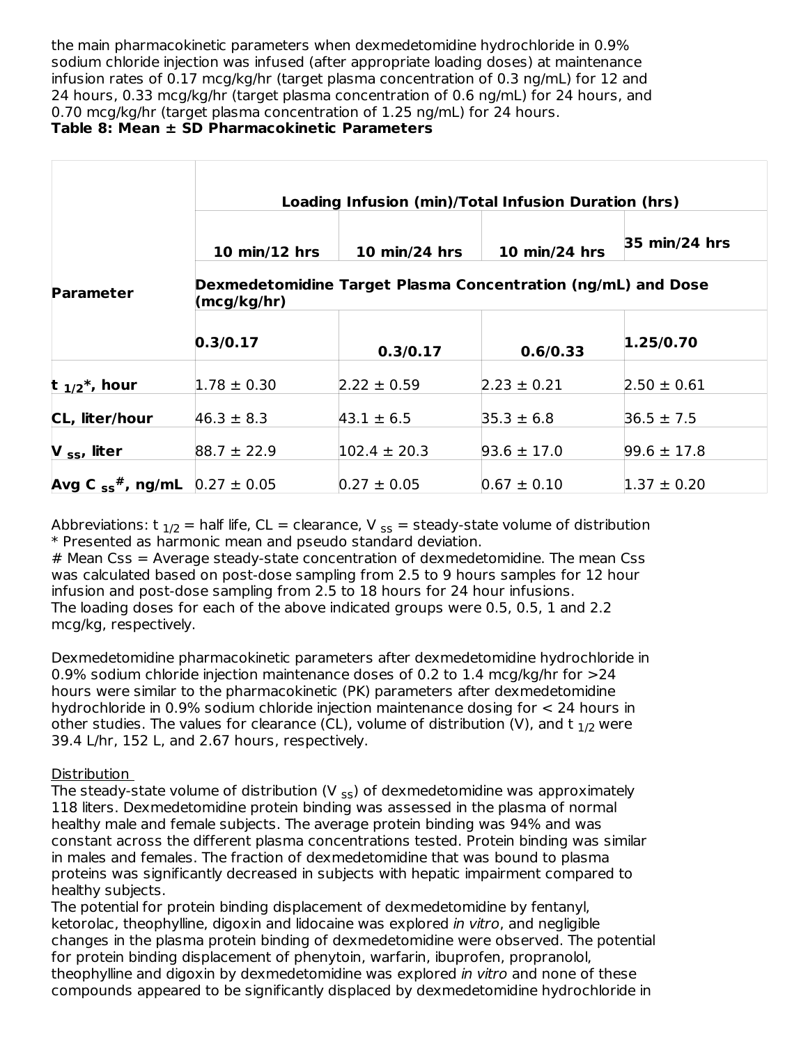the main pharmacokinetic parameters when dexmedetomidine hydrochloride in 0.9% sodium chloride injection was infused (after appropriate loading doses) at maintenance infusion rates of 0.17 mcg/kg/hr (target plasma concentration of 0.3 ng/mL) for 12 and 24 hours, 0.33 mcg/kg/hr (target plasma concentration of 0.6 ng/mL) for 24 hours, and 0.70 mcg/kg/hr (target plasma concentration of 1.25 ng/mL) for 24 hours.

## **Table 8: Mean ± SD Pharmacokinetic Parameters**

|                                    |                 | Loading Infusion (min)/Total Infusion Duration (hrs)         |                 |                 |
|------------------------------------|-----------------|--------------------------------------------------------------|-----------------|-----------------|
|                                    | 10 min/12 hrs   | 10 min/24 hrs                                                | 10 min/24 hrs   | 35 min/24 hrs   |
| <b>Parameter</b>                   | (mcg/kg/hr)     | Dexmedetomidine Target Plasma Concentration (ng/mL) and Dose |                 |                 |
|                                    | 0.3/0.17        | 0.3/0.17                                                     | 0.6/0.33        | 1.25/0.70       |
| t $1/2^*$ , hour                   | $1.78 \pm 0.30$ | $2.22 \pm 0.59$                                              | $2.23 \pm 0.21$ | $2.50 \pm 0.61$ |
| CL, liter/hour                     | $46.3 \pm 8.3$  | $43.1 \pm 6.5$                                               | $35.3 \pm 6.8$  | $36.5 \pm 7.5$  |
| $V$ <sub>ss</sub> , liter          | $88.7 \pm 22.9$ | $102.4 \pm 20.3$                                             | $93.6 \pm 17.0$ | $99.6 \pm 17.8$ |
| Avg C $_{ss}$ <sup>#</sup> , ng/mL | $0.27 \pm 0.05$ | $0.27 \pm 0.05$                                              | $0.67 \pm 0.10$ | $1.37 \pm 0.20$ |

Abbreviations: t  $_{1/2}$  = half life, CL = clearance, V  $_{ss}$  = steady-state volume of distribution \* Presented as harmonic mean and pseudo standard deviation.

# Mean Css = Average steady-state concentration of dexmedetomidine. The mean Css was calculated based on post-dose sampling from 2.5 to 9 hours samples for 12 hour infusion and post-dose sampling from 2.5 to 18 hours for 24 hour infusions. The loading doses for each of the above indicated groups were 0.5, 0.5, 1 and 2.2 mcg/kg, respectively.

Dexmedetomidine pharmacokinetic parameters after dexmedetomidine hydrochloride in 0.9% sodium chloride injection maintenance doses of 0.2 to 1.4 mcg/kg/hr for >24 hours were similar to the pharmacokinetic (PK) parameters after dexmedetomidine hydrochloride in 0.9% sodium chloride injection maintenance dosing for < 24 hours in other studies. The values for clearance (CL), volume of distribution (V), and t  $_{1/2}$  were 39.4 L/hr, 152 L, and 2.67 hours, respectively.

## Distribution

The steady-state volume of distribution (V  $_{\sf ss}$ ) of dexmedetomidine was approximately 118 liters. Dexmedetomidine protein binding was assessed in the plasma of normal healthy male and female subjects. The average protein binding was 94% and was constant across the different plasma concentrations tested. Protein binding was similar in males and females. The fraction of dexmedetomidine that was bound to plasma proteins was significantly decreased in subjects with hepatic impairment compared to healthy subjects.

The potential for protein binding displacement of dexmedetomidine by fentanyl, ketorolac, theophylline, digoxin and lidocaine was explored in vitro, and negligible changes in the plasma protein binding of dexmedetomidine were observed. The potential for protein binding displacement of phenytoin, warfarin, ibuprofen, propranolol, theophylline and digoxin by dexmedetomidine was explored in vitro and none of these compounds appeared to be significantly displaced by dexmedetomidine hydrochloride in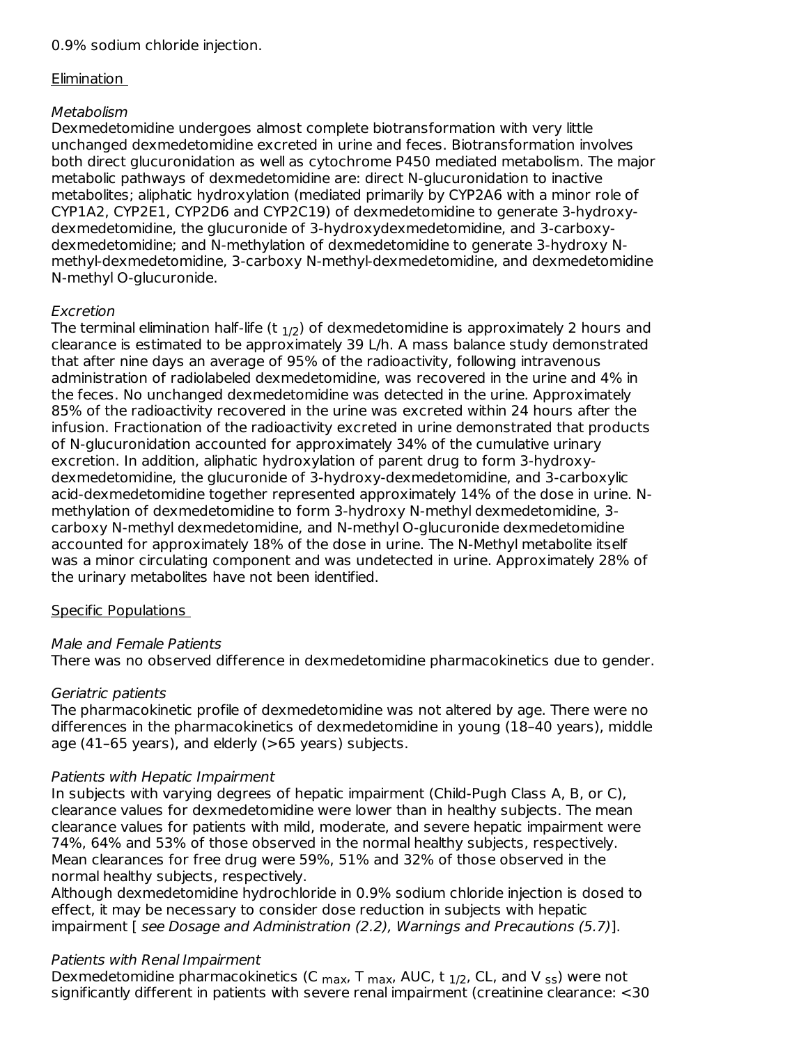## Elimination

# Metabolism

Dexmedetomidine undergoes almost complete biotransformation with very little unchanged dexmedetomidine excreted in urine and feces. Biotransformation involves both direct glucuronidation as well as cytochrome P450 mediated metabolism. The major metabolic pathways of dexmedetomidine are: direct N-glucuronidation to inactive metabolites; aliphatic hydroxylation (mediated primarily by CYP2A6 with a minor role of CYP1A2, CYP2E1, CYP2D6 and CYP2C19) of dexmedetomidine to generate 3-hydroxydexmedetomidine, the glucuronide of 3-hydroxydexmedetomidine, and 3-carboxydexmedetomidine; and N-methylation of dexmedetomidine to generate 3-hydroxy Nmethyl-dexmedetomidine, 3-carboxy N-methyl-dexmedetomidine, and dexmedetomidine N-methyl O-glucuronide.

# Excretion

The terminal elimination half-life (t  $_{\rm 1/2}$ ) of dexmedetomidine is approximately 2 hours and clearance is estimated to be approximately 39 L/h. A mass balance study demonstrated that after nine days an average of 95% of the radioactivity, following intravenous administration of radiolabeled dexmedetomidine, was recovered in the urine and 4% in the feces. No unchanged dexmedetomidine was detected in the urine. Approximately 85% of the radioactivity recovered in the urine was excreted within 24 hours after the infusion. Fractionation of the radioactivity excreted in urine demonstrated that products of N-glucuronidation accounted for approximately 34% of the cumulative urinary excretion. In addition, aliphatic hydroxylation of parent drug to form 3-hydroxydexmedetomidine, the glucuronide of 3-hydroxy-dexmedetomidine, and 3-carboxylic acid-dexmedetomidine together represented approximately 14% of the dose in urine. Nmethylation of dexmedetomidine to form 3-hydroxy N-methyl dexmedetomidine, 3 carboxy N-methyl dexmedetomidine, and N-methyl O-glucuronide dexmedetomidine accounted for approximately 18% of the dose in urine. The N-Methyl metabolite itself was a minor circulating component and was undetected in urine. Approximately 28% of the urinary metabolites have not been identified.

# Specific Populations

# Male and Female Patients

There was no observed difference in dexmedetomidine pharmacokinetics due to gender.

# Geriatric patients

The pharmacokinetic profile of dexmedetomidine was not altered by age. There were no differences in the pharmacokinetics of dexmedetomidine in young (18–40 years), middle age (41–65 years), and elderly (>65 years) subjects.

## Patients with Hepatic Impairment

In subjects with varying degrees of hepatic impairment (Child-Pugh Class A, B, or C), clearance values for dexmedetomidine were lower than in healthy subjects. The mean clearance values for patients with mild, moderate, and severe hepatic impairment were 74%, 64% and 53% of those observed in the normal healthy subjects, respectively. Mean clearances for free drug were 59%, 51% and 32% of those observed in the normal healthy subjects, respectively.

Although dexmedetomidine hydrochloride in 0.9% sodium chloride injection is dosed to effect, it may be necessary to consider dose reduction in subjects with hepatic impairment [ see Dosage and Administration (2.2), Warnings and Precautions (5.7)].

# Patients with Renal Impairment

Dexmedetomidine pharmacokinetics (C  $_{\sf max}$ , T  $_{\sf max}$ , AUC, t  $_{1/2}$ , CL, and V  $_{\sf ss}$ ) were not significantly different in patients with severe renal impairment (creatinine clearance: <30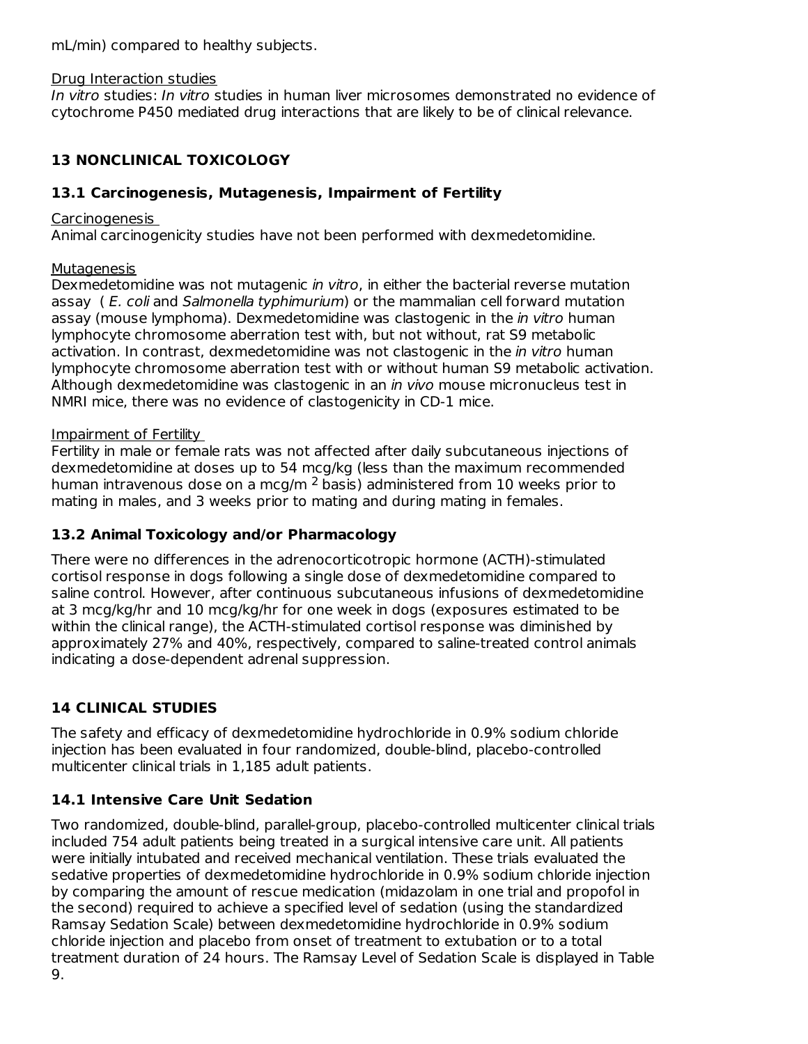mL/min) compared to healthy subjects.

#### Drug Interaction studies

In vitro studies: In vitro studies in human liver microsomes demonstrated no evidence of cytochrome P450 mediated drug interactions that are likely to be of clinical relevance.

# **13 NONCLINICAL TOXICOLOGY**

### **13.1 Carcinogenesis, Mutagenesis, Impairment of Fertility**

#### Carcinogenesis

Animal carcinogenicity studies have not been performed with dexmedetomidine.

#### **Mutagenesis**

Dexmedetomidine was not mutagenic in vitro, in either the bacterial reverse mutation assay (E. coli and Salmonella typhimurium) or the mammalian cell forward mutation assay (mouse lymphoma). Dexmedetomidine was clastogenic in the *in vitro* human lymphocyte chromosome aberration test with, but not without, rat S9 metabolic activation. In contrast, dexmedetomidine was not clastogenic in the *in vitro* human lymphocyte chromosome aberration test with or without human S9 metabolic activation. Although dexmedetomidine was clastogenic in an in vivo mouse micronucleus test in NMRI mice, there was no evidence of clastogenicity in CD-1 mice.

#### Impairment of Fertility

Fertility in male or female rats was not affected after daily subcutaneous injections of dexmedetomidine at doses up to 54 mcg/kg (less than the maximum recommended human intravenous dose on a mcg/m  $^2$  basis) administered from 10 weeks prior to mating in males, and 3 weeks prior to mating and during mating in females.

## **13.2 Animal Toxicology and/or Pharmacology**

There were no differences in the adrenocorticotropic hormone (ACTH)-stimulated cortisol response in dogs following a single dose of dexmedetomidine compared to saline control. However, after continuous subcutaneous infusions of dexmedetomidine at 3 mcg/kg/hr and 10 mcg/kg/hr for one week in dogs (exposures estimated to be within the clinical range), the ACTH-stimulated cortisol response was diminished by approximately 27% and 40%, respectively, compared to saline-treated control animals indicating a dose-dependent adrenal suppression.

## **14 CLINICAL STUDIES**

The safety and efficacy of dexmedetomidine hydrochloride in 0.9% sodium chloride injection has been evaluated in four randomized, double-blind, placebo-controlled multicenter clinical trials in 1,185 adult patients.

## **14.1 Intensive Care Unit Sedation**

Two randomized, double-blind, parallel-group, placebo-controlled multicenter clinical trials included 754 adult patients being treated in a surgical intensive care unit. All patients were initially intubated and received mechanical ventilation. These trials evaluated the sedative properties of dexmedetomidine hydrochloride in 0.9% sodium chloride injection by comparing the amount of rescue medication (midazolam in one trial and propofol in the second) required to achieve a specified level of sedation (using the standardized Ramsay Sedation Scale) between dexmedetomidine hydrochloride in 0.9% sodium chloride injection and placebo from onset of treatment to extubation or to a total treatment duration of 24 hours. The Ramsay Level of Sedation Scale is displayed in Table 9.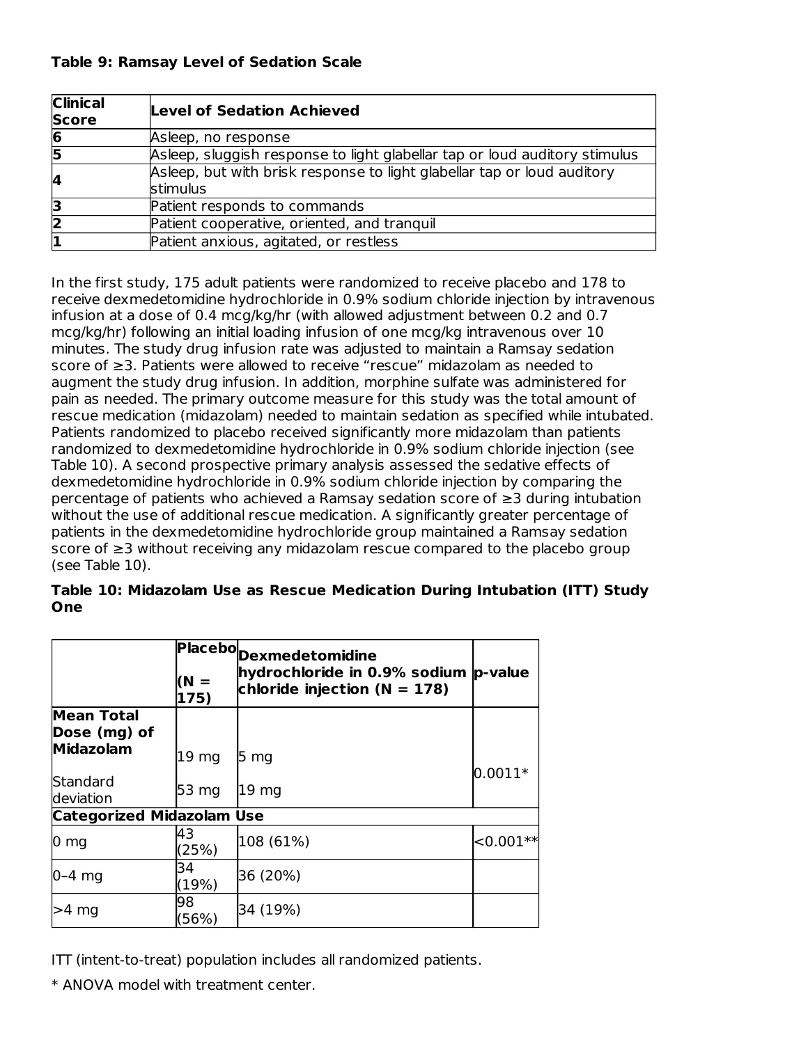| <b>Clinical</b><br><b>Score</b> | Level of Sedation Achieved                                                          |
|---------------------------------|-------------------------------------------------------------------------------------|
| 6                               | Asleep, no response                                                                 |
| 15                              | Asleep, sluggish response to light glabellar tap or loud auditory stimulus          |
| 4                               | Asleep, but with brisk response to light glabellar tap or loud auditory<br>stimulus |
|                                 | Patient responds to commands                                                        |
|                                 | Patient cooperative, oriented, and tranquil                                         |
|                                 | Patient anxious, agitated, or restless                                              |

In the first study, 175 adult patients were randomized to receive placebo and 178 to receive dexmedetomidine hydrochloride in 0.9% sodium chloride injection by intravenous infusion at a dose of 0.4 mcg/kg/hr (with allowed adjustment between 0.2 and 0.7 mcg/kg/hr) following an initial loading infusion of one mcg/kg intravenous over 10 minutes. The study drug infusion rate was adjusted to maintain a Ramsay sedation score of ≥3. Patients were allowed to receive "rescue" midazolam as needed to augment the study drug infusion. In addition, morphine sulfate was administered for pain as needed. The primary outcome measure for this study was the total amount of rescue medication (midazolam) needed to maintain sedation as specified while intubated. Patients randomized to placebo received significantly more midazolam than patients randomized to dexmedetomidine hydrochloride in 0.9% sodium chloride injection (see Table 10). A second prospective primary analysis assessed the sedative effects of dexmedetomidine hydrochloride in 0.9% sodium chloride injection by comparing the percentage of patients who achieved a Ramsay sedation score of ≥3 during intubation without the use of additional rescue medication. A significantly greater percentage of patients in the dexmedetomidine hydrochloride group maintained a Ramsay sedation score of ≥3 without receiving any midazolam rescue compared to the placebo group (see Table 10).

|     |  |  | Table 10: Midazolam Use as Rescue Medication During Intubation (ITT) Study |  |  |
|-----|--|--|----------------------------------------------------------------------------|--|--|
| One |  |  |                                                                            |  |  |

|                                   |                  | Placebo <sub>Dexmedetomidine</sub>                                       |             |
|-----------------------------------|------------------|--------------------------------------------------------------------------|-------------|
|                                   | $(N =$<br>175)   | hydrochloride in 0.9% sodium p-value<br>chloride injection ( $N = 178$ ) |             |
| <b>Mean Total</b><br>Dose (mg) of |                  |                                                                          |             |
| Midazolam                         | 19 mg            | 5 <sub>mg</sub>                                                          |             |
| Standard<br>deviation             | 53 <sub>mg</sub> | 19 mg                                                                    | $0.0011*$   |
| <b>Categorized Midazolam Use</b>  |                  |                                                                          |             |
| $0 \text{ mg}$                    | 43<br>(25%)      | 108 (61%)                                                                | $< 0.001**$ |
| $0-4$ mg                          | 34<br>(19%)      | 36 (20%)                                                                 |             |
| $>4$ mg                           | 98<br>(56%)      | 34 (19%)                                                                 |             |

ITT (intent-to-treat) population includes all randomized patients.

\* ANOVA model with treatment center.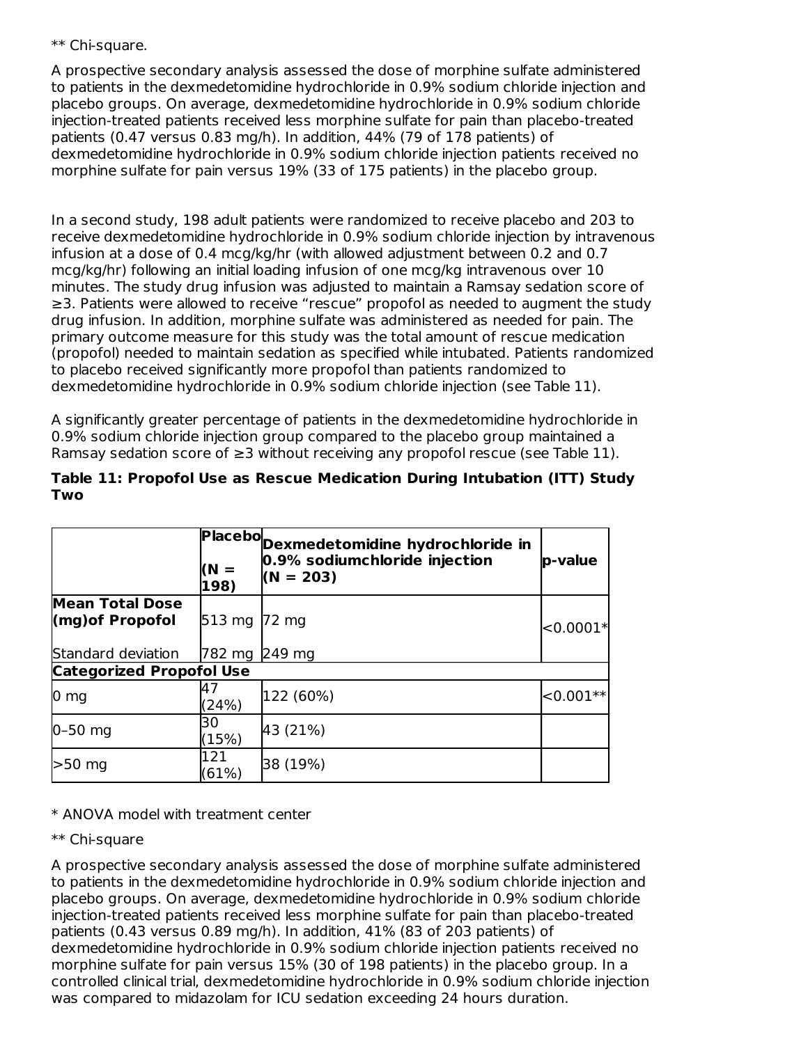#### \*\* Chi-square.

A prospective secondary analysis assessed the dose of morphine sulfate administered to patients in the dexmedetomidine hydrochloride in 0.9% sodium chloride injection and placebo groups. On average, dexmedetomidine hydrochloride in 0.9% sodium chloride injection-treated patients received less morphine sulfate for pain than placebo-treated patients (0.47 versus 0.83 mg/h). In addition, 44% (79 of 178 patients) of dexmedetomidine hydrochloride in 0.9% sodium chloride injection patients received no morphine sulfate for pain versus 19% (33 of 175 patients) in the placebo group.

In a second study, 198 adult patients were randomized to receive placebo and 203 to receive dexmedetomidine hydrochloride in 0.9% sodium chloride injection by intravenous infusion at a dose of 0.4 mcg/kg/hr (with allowed adjustment between 0.2 and 0.7 mcg/kg/hr) following an initial loading infusion of one mcg/kg intravenous over 10 minutes. The study drug infusion was adjusted to maintain a Ramsay sedation score of ≥3. Patients were allowed to receive "rescue" propofol as needed to augment the study drug infusion. In addition, morphine sulfate was administered as needed for pain. The primary outcome measure for this study was the total amount of rescue medication (propofol) needed to maintain sedation as specified while intubated. Patients randomized to placebo received significantly more propofol than patients randomized to dexmedetomidine hydrochloride in 0.9% sodium chloride injection (see Table 11).

A significantly greater percentage of patients in the dexmedetomidine hydrochloride in 0.9% sodium chloride injection group compared to the placebo group maintained a Ramsay sedation score of  $\geq 3$  without receiving any propofol rescue (see Table 11).

|                                            | $(N =$<br>198)   | Placebo <sub>Dexmedetomidine hydrochloride in</sub><br>0.9% sodiumchloride injection<br>$(N = 203)$ | p-value            |
|--------------------------------------------|------------------|-----------------------------------------------------------------------------------------------------|--------------------|
| <b>Mean Total Dose</b><br>(mg) of Propofol | $513 \text{ mg}$ | 72 mg                                                                                               | $< 0.0001*$        |
| Standard deviation                         | 782 mg           | $249$ mg                                                                                            |                    |
| <b>Categorized Propofol Use</b>            |                  |                                                                                                     |                    |
| 0 <sub>mg</sub>                            | 47<br>(24%)      | 122 (60%)                                                                                           | $ <$ 0.001 $*$ $ $ |
| $0-50$ mg                                  | 30<br>(15%)      | 43 (21%)                                                                                            |                    |
| $>50$ mg                                   | 121<br>(61%)     | 38 (19%)                                                                                            |                    |

#### **Table 11: Propofol Use as Rescue Medication During Intubation (ITT) Study Two**

## \* ANOVA model with treatment center

#### \*\* Chi-square

A prospective secondary analysis assessed the dose of morphine sulfate administered to patients in the dexmedetomidine hydrochloride in 0.9% sodium chloride injection and placebo groups. On average, dexmedetomidine hydrochloride in 0.9% sodium chloride injection-treated patients received less morphine sulfate for pain than placebo-treated patients (0.43 versus 0.89 mg/h). In addition, 41% (83 of 203 patients) of dexmedetomidine hydrochloride in 0.9% sodium chloride injection patients received no morphine sulfate for pain versus 15% (30 of 198 patients) in the placebo group. In a controlled clinical trial, dexmedetomidine hydrochloride in 0.9% sodium chloride injection was compared to midazolam for ICU sedation exceeding 24 hours duration.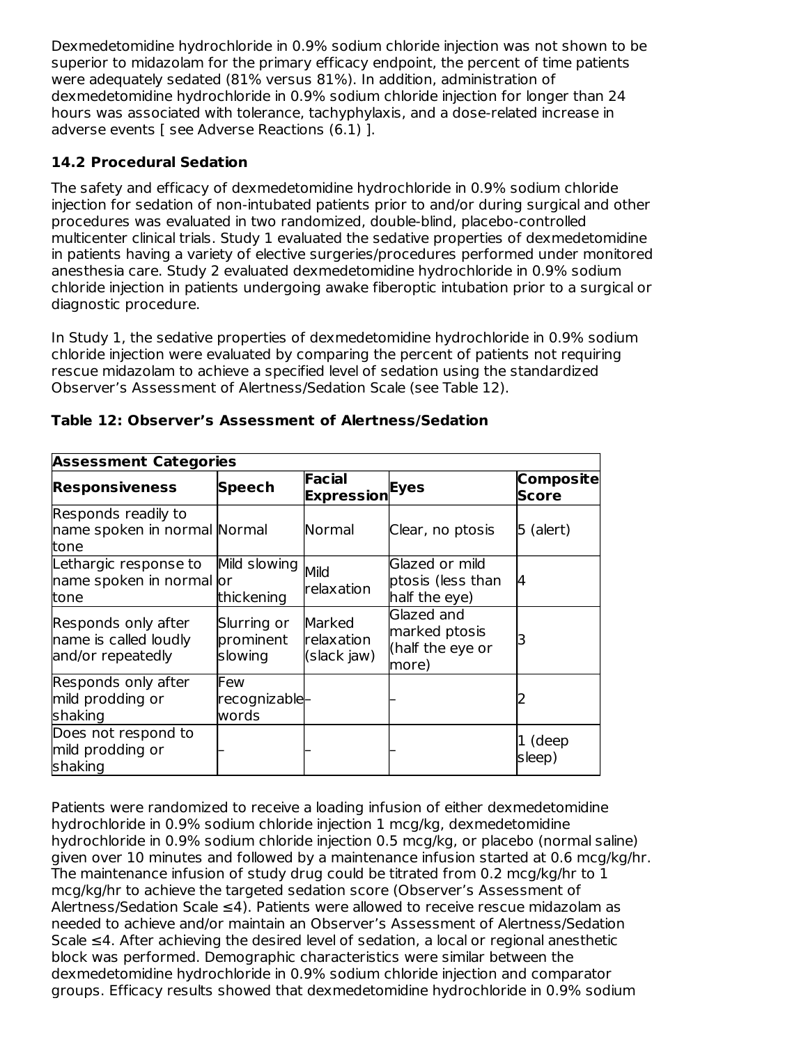Dexmedetomidine hydrochloride in 0.9% sodium chloride injection was not shown to be superior to midazolam for the primary efficacy endpoint, the percent of time patients were adequately sedated (81% versus 81%). In addition, administration of dexmedetomidine hydrochloride in 0.9% sodium chloride injection for longer than 24 hours was associated with tolerance, tachyphylaxis, and a dose-related increase in adverse events [ see Adverse Reactions (6.1) ].

## **14.2 Procedural Sedation**

The safety and efficacy of dexmedetomidine hydrochloride in 0.9% sodium chloride injection for sedation of non-intubated patients prior to and/or during surgical and other procedures was evaluated in two randomized, double-blind, placebo-controlled multicenter clinical trials. Study 1 evaluated the sedative properties of dexmedetomidine in patients having a variety of elective surgeries/procedures performed under monitored anesthesia care. Study 2 evaluated dexmedetomidine hydrochloride in 0.9% sodium chloride injection in patients undergoing awake fiberoptic intubation prior to a surgical or diagnostic procedure.

In Study 1, the sedative properties of dexmedetomidine hydrochloride in 0.9% sodium chloride injection were evaluated by comparing the percent of patients not requiring rescue midazolam to achieve a specified level of sedation using the standardized Observer's Assessment of Alertness/Sedation Scale (see Table 12).

| <b>Assessment Categories</b>                                      |                                     |                                     |                                                          |                    |
|-------------------------------------------------------------------|-------------------------------------|-------------------------------------|----------------------------------------------------------|--------------------|
| <b>Responsiveness</b>                                             | <b>Speech</b>                       | <b>Facial</b><br><b>Expression</b>  | Eyes                                                     | Composite<br>Score |
| Responds readily to<br>name spoken in normal Normal<br>tone       |                                     | Normal                              | Clear, no ptosis                                         | $5$ (alert)        |
| Lethargic response to<br>name spoken in normal or<br>tone         | Mild slowing<br>thickening          | Mild<br><b>relaxation</b>           | Glazed or mild<br>ptosis (less than<br>half the eye)     | 4                  |
| Responds only after<br>name is called loudly<br>and/or repeatedly | Slurring or<br>prominent<br>slowing | Marked<br>relaxation<br>(slack jaw) | Glazed and<br>marked ptosis<br>(half the eye or<br>more) |                    |
| Responds only after<br>mild prodding or<br>shaking                | Few<br>recognizable-<br>words       |                                     |                                                          |                    |
| Does not respond to<br>mild prodding or<br>shaking                |                                     |                                     |                                                          | 1 (deep<br>sleep)  |

### **Table 12: Observer's Assessment of Alertness/Sedation**

Patients were randomized to receive a loading infusion of either dexmedetomidine hydrochloride in 0.9% sodium chloride injection 1 mcg/kg, dexmedetomidine hydrochloride in 0.9% sodium chloride injection 0.5 mcg/kg, or placebo (normal saline) given over 10 minutes and followed by a maintenance infusion started at 0.6 mcg/kg/hr. The maintenance infusion of study drug could be titrated from 0.2 mcg/kg/hr to 1 mcg/kg/hr to achieve the targeted sedation score (Observer's Assessment of Alertness/Sedation Scale ≤4). Patients were allowed to receive rescue midazolam as needed to achieve and/or maintain an Observer's Assessment of Alertness/Sedation Scale ≤4. After achieving the desired level of sedation, a local or regional anesthetic block was performed. Demographic characteristics were similar between the dexmedetomidine hydrochloride in 0.9% sodium chloride injection and comparator groups. Efficacy results showed that dexmedetomidine hydrochloride in 0.9% sodium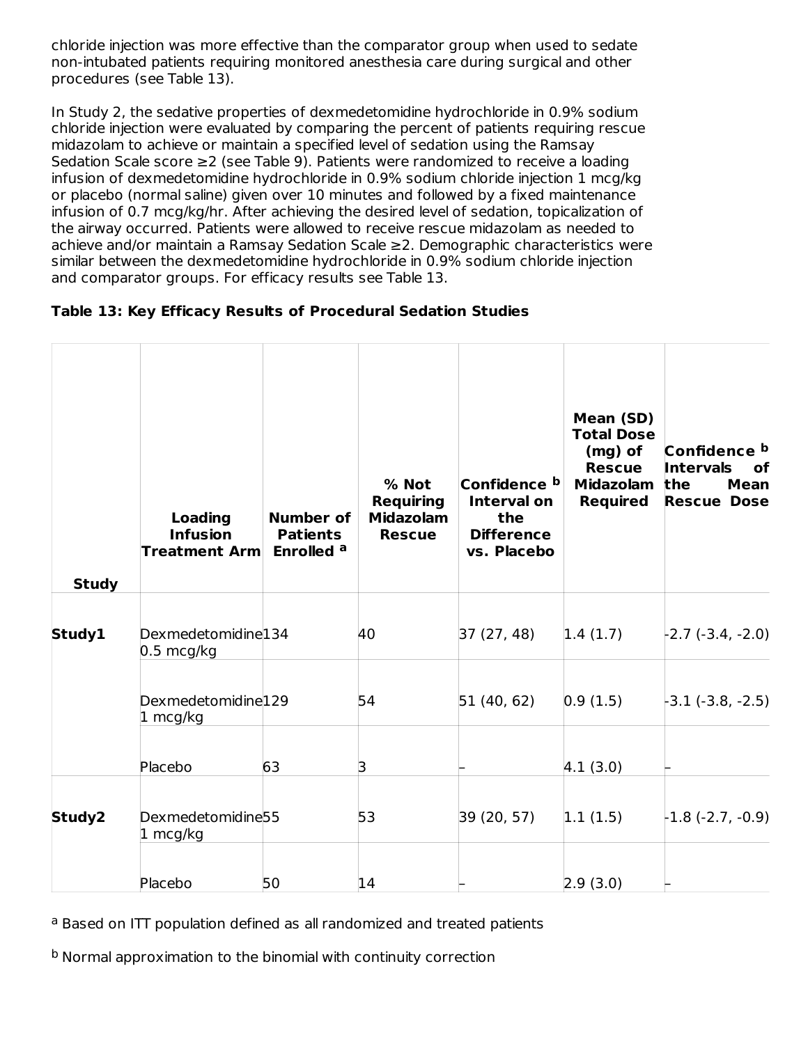chloride injection was more effective than the comparator group when used to sedate non-intubated patients requiring monitored anesthesia care during surgical and other procedures (see Table 13).

In Study 2, the sedative properties of dexmedetomidine hydrochloride in 0.9% sodium chloride injection were evaluated by comparing the percent of patients requiring rescue midazolam to achieve or maintain a specified level of sedation using the Ramsay Sedation Scale score ≥2 (see Table 9). Patients were randomized to receive a loading infusion of dexmedetomidine hydrochloride in 0.9% sodium chloride injection 1 mcg/kg or placebo (normal saline) given over 10 minutes and followed by a fixed maintenance infusion of 0.7 mcg/kg/hr. After achieving the desired level of sedation, topicalization of the airway occurred. Patients were allowed to receive rescue midazolam as needed to achieve and/or maintain a Ramsay Sedation Scale ≥2. Demographic characteristics were similar between the dexmedetomidine hydrochloride in 0.9% sodium chloride injection and comparator groups. For efficacy results see Table 13.

|  | Table 13: Key Efficacy Results of Procedural Sedation Studies |
|--|---------------------------------------------------------------|
|--|---------------------------------------------------------------|

| <b>Study</b> | <b>Loading</b><br><b>Infusion</b><br><b>Treatment Arm</b> | <b>Number of</b><br><b>Patients</b><br>Enrolled <sup>a</sup> | % Not<br><b>Requiring</b><br><b>Midazolam</b><br><b>Rescue</b> | Confidence b<br><b>Interval on</b><br>the<br><b>Difference</b><br>vs. Placebo | Mean (SD)<br><b>Total Dose</b><br>(mg) of<br><b>Rescue</b><br><b>Midazolam</b><br><b>Required</b> | Confidence b<br><b>Intervals</b><br>оf<br>the<br>Mean<br><b>Rescue Dose</b> |
|--------------|-----------------------------------------------------------|--------------------------------------------------------------|----------------------------------------------------------------|-------------------------------------------------------------------------------|---------------------------------------------------------------------------------------------------|-----------------------------------------------------------------------------|
| Study1       | Dexmedetomidine <sup>134</sup><br>$0.5 \text{ mcg/kg}$    |                                                              | 40                                                             | 37(27, 48)                                                                    | 1.4(1.7)                                                                                          | $-2.7$ $(-3.4, -2.0)$                                                       |
|              | Dexmedetomidine129<br>$1 \text{ mcg/kg}$                  |                                                              | 54                                                             | 51(40, 62)                                                                    | 0.9(1.5)                                                                                          | $-3.1$ $(-3.8, -2.5)$                                                       |
|              | Placebo                                                   | 63                                                           | З                                                              |                                                                               | 4.1(3.0)                                                                                          |                                                                             |
| Study2       | Dexmedetomidine <sup>55</sup><br>$1 \text{ mcg/kg}$       |                                                              | 53                                                             | 39 (20, 57)                                                                   | 1.1(1.5)                                                                                          | $-1.8$ (-2.7, -0.9)                                                         |
|              | Placebo                                                   | 50                                                           | 14                                                             |                                                                               | [2.9(3.0)]                                                                                        |                                                                             |

a Based on ITT population defined as all randomized and treated patients

<sup>b</sup> Normal approximation to the binomial with continuity correction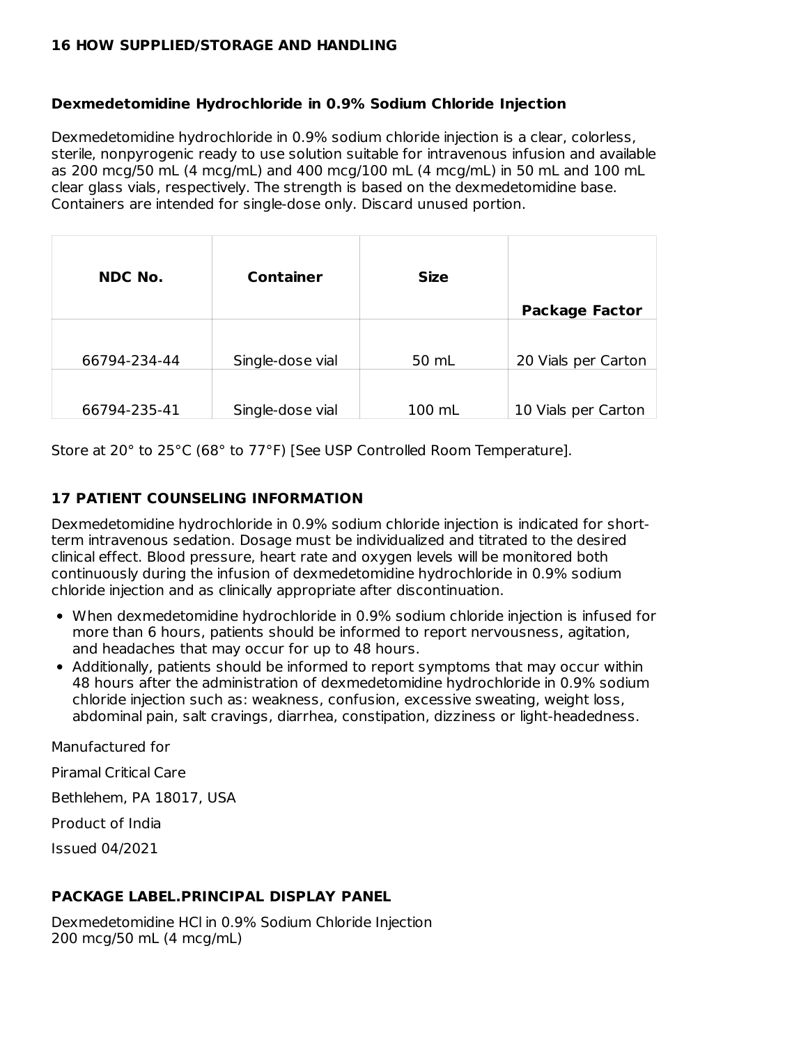#### **16 HOW SUPPLIED/STORAGE AND HANDLING**

#### **Dexmedetomidine Hydrochloride in 0.9% Sodium Chloride Injection**

Dexmedetomidine hydrochloride in 0.9% sodium chloride injection is a clear, colorless, sterile, nonpyrogenic ready to use solution suitable for intravenous infusion and available as 200 mcg/50 mL (4 mcg/mL) and 400 mcg/100 mL (4 mcg/mL) in 50 mL and 100 mL clear glass vials, respectively. The strength is based on the dexmedetomidine base. Containers are intended for single-dose only. Discard unused portion.

| <b>NDC No.</b> | <b>Container</b> | <b>Size</b> | <b>Package Factor</b> |
|----------------|------------------|-------------|-----------------------|
| 66794-234-44   | Single-dose vial | 50 mL       | 20 Vials per Carton   |
| 66794-235-41   | Single-dose vial | 100 mL      | 10 Vials per Carton   |

Store at 20° to 25°C (68° to 77°F) [See USP Controlled Room Temperature].

#### **17 PATIENT COUNSELING INFORMATION**

Dexmedetomidine hydrochloride in 0.9% sodium chloride injection is indicated for shortterm intravenous sedation. Dosage must be individualized and titrated to the desired clinical effect. Blood pressure, heart rate and oxygen levels will be monitored both continuously during the infusion of dexmedetomidine hydrochloride in 0.9% sodium chloride injection and as clinically appropriate after discontinuation.

- When dexmedetomidine hydrochloride in 0.9% sodium chloride injection is infused for more than 6 hours, patients should be informed to report nervousness, agitation, and headaches that may occur for up to 48 hours.
- Additionally, patients should be informed to report symptoms that may occur within 48 hours after the administration of dexmedetomidine hydrochloride in 0.9% sodium chloride injection such as: weakness, confusion, excessive sweating, weight loss, abdominal pain, salt cravings, diarrhea, constipation, dizziness or light-headedness.

Manufactured for

Piramal Critical Care

Bethlehem, PA 18017, USA

Product of India

Issued 04/2021

#### **PACKAGE LABEL.PRINCIPAL DISPLAY PANEL**

Dexmedetomidine HCl in 0.9% Sodium Chloride Injection 200 mcg/50 mL (4 mcg/mL)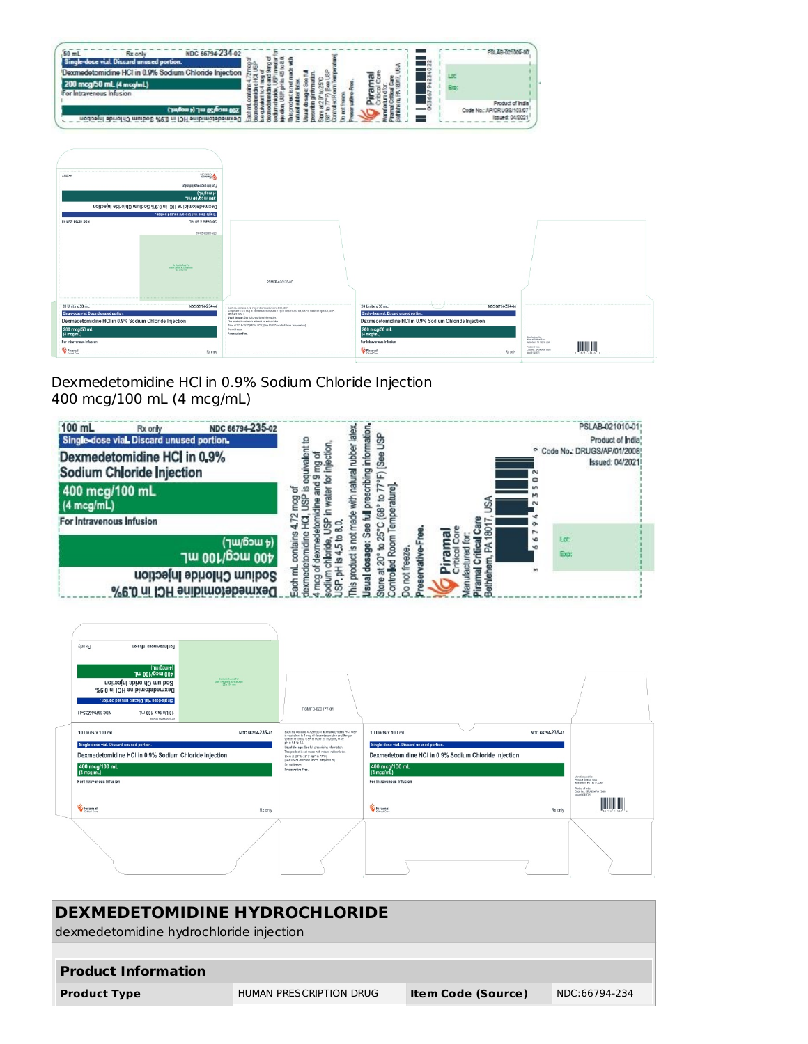



Dexmedetomidine HCl in 0.9% Sodium Chloride Injection 400 mcg/100 mL (4 mcg/mL)



| <b>Kino x5R</b><br>For Intravenous Infanton<br>(t mcg/mL)<br>400 mcg/100 mL<br>Sodium Chloride Injection<br>Dexmedetomidine HCI in 0.9%<br>Single-dose vial. Discard unused portion.<br>ADC 66794-235-41<br>10 Units x 100 mL<br>01100206200031410 | <b>Ga Vanish Axes Far</b><br><b>Beaty Details &amp; 2D Barcode</b><br>125 x 105 mm | PSMFB-020177-01                                                                                                                                                                       |                                                       |                  |                                                                                |
|----------------------------------------------------------------------------------------------------------------------------------------------------------------------------------------------------------------------------------------------------|------------------------------------------------------------------------------------|---------------------------------------------------------------------------------------------------------------------------------------------------------------------------------------|-------------------------------------------------------|------------------|--------------------------------------------------------------------------------|
| 10 Units x 100 mL                                                                                                                                                                                                                                  | NDC 66794-235-41                                                                   | Each mL contains 4.72 mog of dexmedetomidine HCLUSP<br>is equivalent to 4 mog of devredetomidine and 9 mg of<br>sedium chioride, USP in water for injection, USP<br>pH is 4.5 to 8.0. | 10 Units x 100 mL                                     | NDC 66794-235-41 |                                                                                |
| Single-dose vial. Discard unused portion.                                                                                                                                                                                                          |                                                                                    | Usual dosage: See full prescribing information.<br>This product is not made with natural rubber latex.                                                                                | Single-dose vial. Discard unused portion.             |                  |                                                                                |
| Dexmedetomidine HCI in 0.9% Sodium Chloride Injection                                                                                                                                                                                              |                                                                                    | Store at 20" to 25"C (68" to 77"F)<br>[See USP Controlled Room Temperature].                                                                                                          | Dexmedetomidine HCI in 0.9% Sodium Chloride Injection |                  |                                                                                |
| 400 mcg/100 mL<br>$(4 \text{ mcg/mL})$                                                                                                                                                                                                             |                                                                                    | Do not freeze.<br>Preservative-Free.                                                                                                                                                  | 400 mcg/100 mL<br>(4 mcg/mL)                          |                  |                                                                                |
| For Intravenous Infusion                                                                                                                                                                                                                           |                                                                                    |                                                                                                                                                                                       | For Intravenous Infusion                              |                  | Vanufactured for<br>Pleased Critical Core<br>Bethinhoun, PA 18317, USA         |
| <b>G</b> Piramal                                                                                                                                                                                                                                   | Rx only                                                                            |                                                                                                                                                                                       | <b>G</b> Piramal                                      | Rx only          | Product of India<br>Code No.: ERUGS/AP/012008<br>Issued: 04/2021<br>SATEL FEEL |
|                                                                                                                                                                                                                                                    |                                                                                    |                                                                                                                                                                                       |                                                       |                  |                                                                                |

| <b>DEXMEDETOMIDINE HYDROCHLORIDE</b><br>dexmedetomidine hydrochloride injection |                         |                           |               |  |  |  |
|---------------------------------------------------------------------------------|-------------------------|---------------------------|---------------|--|--|--|
| <b>Product Information</b>                                                      |                         |                           |               |  |  |  |
| <b>Product Type</b>                                                             | HUMAN PRESCRIPTION DRUG | <b>Item Code (Source)</b> | NDC:66794-234 |  |  |  |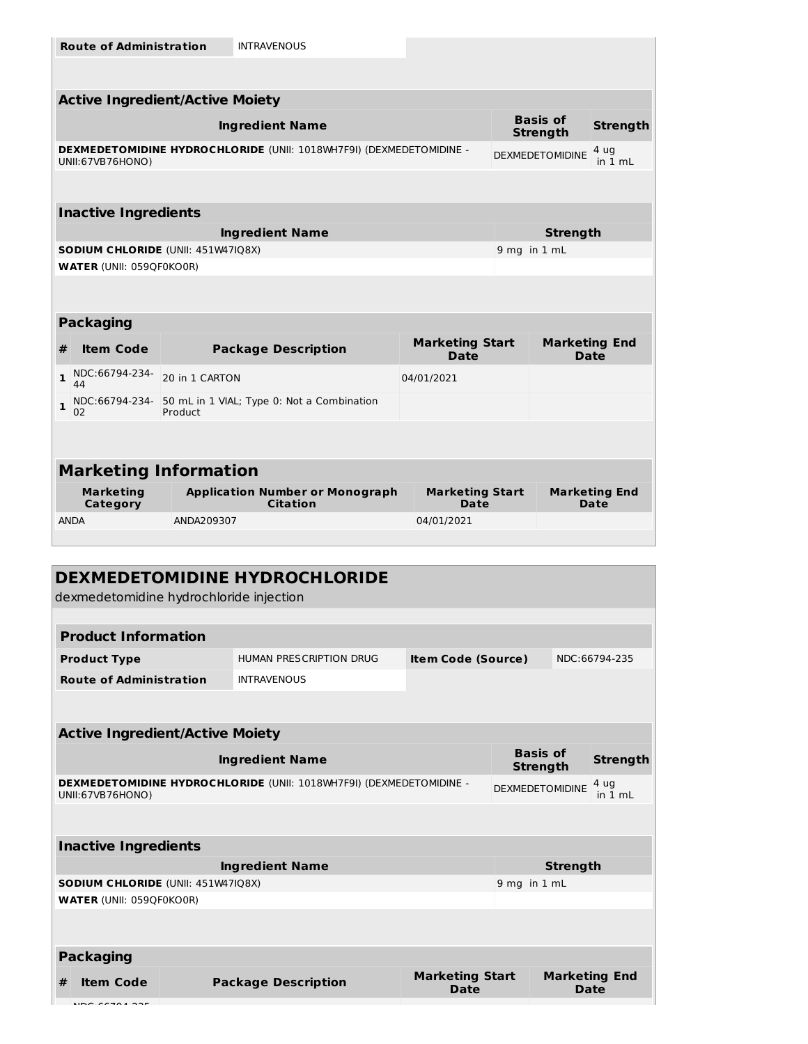|              | <b>Route of Administration</b>         |                | <b>INTRAVENOUS</b>                                                  |                                       |                                     |                              |
|--------------|----------------------------------------|----------------|---------------------------------------------------------------------|---------------------------------------|-------------------------------------|------------------------------|
|              |                                        |                |                                                                     |                                       |                                     |                              |
|              | <b>Active Ingredient/Active Moiety</b> |                |                                                                     |                                       |                                     |                              |
|              |                                        |                | <b>Ingredient Name</b>                                              |                                       | <b>Basis of</b><br><b>Strength</b>  | <b>Strength</b>              |
|              | UNII:67VB76HONO)                       |                | DEXMEDETOMIDINE HYDROCHLORIDE (UNII: 1018WH7F9I) (DEXMEDETOMIDINE - |                                       | <b>DEXMEDETOMIDINE</b>              | 4 ug<br>in 1 mL              |
|              |                                        |                |                                                                     |                                       |                                     |                              |
|              | <b>Inactive Ingredients</b>            |                |                                                                     |                                       |                                     |                              |
|              |                                        |                | <b>Ingredient Name</b>                                              |                                       | <b>Strength</b>                     |                              |
|              | SODIUM CHLORIDE (UNII: 451W47IQ8X)     |                |                                                                     |                                       | 9 mg in 1 mL                        |                              |
|              | <b>WATER (UNII: 059QF0KO0R)</b>        |                |                                                                     |                                       |                                     |                              |
|              | <b>Packaging</b>                       |                |                                                                     |                                       |                                     |                              |
| #            | <b>Item Code</b>                       |                | <b>Package Description</b>                                          | <b>Marketing Start</b><br><b>Date</b> | <b>Marketing End</b><br><b>Date</b> |                              |
| $\mathbf{1}$ | NDC:66794-234-<br>44                   | 20 in 1 CARTON |                                                                     | 04/01/2021                            |                                     |                              |
| $\mathbf{1}$ | NDC:66794-234-<br>02                   | Product        | 50 mL in 1 VIAL; Type 0: Not a Combination                          |                                       |                                     |                              |
|              |                                        |                |                                                                     |                                       |                                     |                              |
|              | <b>Marketing Information</b>           |                |                                                                     |                                       |                                     |                              |
|              | <b>Marketing</b><br>Category           |                | <b>Application Number or Monograph</b><br><b>Citation</b>           | <b>Marketing Start</b><br>Date        |                                     | <b>Marketing End</b><br>Date |
|              | <b>ANDA</b>                            | ANDA209307     |                                                                     | 04/01/2021                            |                                     |                              |
|              |                                        |                |                                                                     |                                       |                                     |                              |
|              |                                        |                |                                                                     |                                       |                                     |                              |
|              |                                        |                |                                                                     |                                       |                                     |                              |

| dexmedetomidine hydrochloride injection   |                                                                     |                                       |                                    |                 |                      |
|-------------------------------------------|---------------------------------------------------------------------|---------------------------------------|------------------------------------|-----------------|----------------------|
|                                           |                                                                     |                                       |                                    |                 |                      |
| <b>Product Information</b>                |                                                                     |                                       |                                    |                 |                      |
| <b>Product Type</b>                       | HUMAN PRESCRIPTION DRUG                                             | <b>Item Code (Source)</b>             |                                    |                 | NDC:66794-235        |
| <b>Route of Administration</b>            | <b>INTRAVENOUS</b>                                                  |                                       |                                    |                 |                      |
|                                           |                                                                     |                                       |                                    |                 |                      |
| <b>Active Ingredient/Active Moiety</b>    |                                                                     |                                       |                                    |                 |                      |
|                                           | <b>Ingredient Name</b>                                              |                                       | <b>Basis of</b><br><b>Strength</b> |                 | <b>Strength</b>      |
| UNII:67VB76HONO)                          | DEXMEDETOMIDINE HYDROCHLORIDE (UNII: 1018WH7F9I) (DEXMEDETOMIDINE - |                                       | <b>DEXMEDETOMIDINE</b>             |                 | 4 ug<br>in 1 mL      |
|                                           |                                                                     |                                       |                                    |                 |                      |
| <b>Inactive Ingredients</b>               |                                                                     |                                       |                                    |                 |                      |
|                                           | <b>Ingredient Name</b>                                              |                                       |                                    | <b>Strength</b> |                      |
| <b>SODIUM CHLORIDE (UNII: 451W47IQ8X)</b> |                                                                     |                                       | 9 mg in 1 mL                       |                 |                      |
| <b>WATER (UNII: 059QF0KO0R)</b>           |                                                                     |                                       |                                    |                 |                      |
|                                           |                                                                     |                                       |                                    |                 |                      |
| <b>Packaging</b>                          |                                                                     |                                       |                                    |                 |                      |
| <b>Item Code</b><br>#                     | <b>Package Description</b>                                          | <b>Marketing Start</b><br><b>Date</b> |                                    | Date            | <b>Marketing End</b> |
| $MDC$ $CCT0A$ $22F$                       |                                                                     |                                       |                                    |                 |                      |